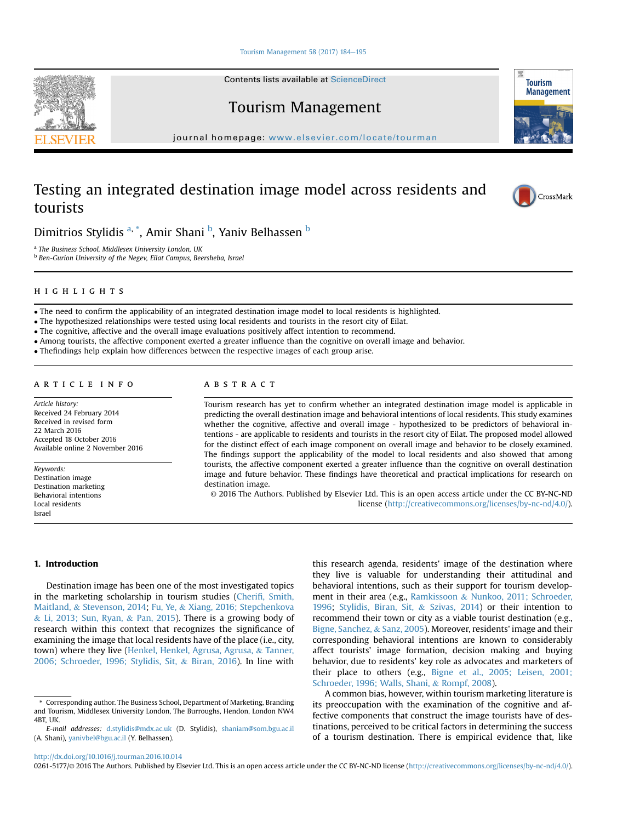[Tourism Management 58 \(2017\) 184](http://dx.doi.org/10.1016/j.tourman.2016.10.014)-[195](http://dx.doi.org/10.1016/j.tourman.2016.10.014)

Contents lists available at ScienceDirect

Tourism Management

journal homepage: [www.elsevier.com/locate/tourman](http://www.elsevier.com/locate/tourman)

# Testing an integrated destination image model across residents and tourists

Dimitrios Stylidis <sup>a, \*</sup>, Amir Shani <sup>b</sup>, Yaniv Belhassen <sup>b</sup>

a The Business School, Middlesex University London, UK

<sup>b</sup> Ben-Gurion University of the Negev, Eilat Campus, Beersheba, Israel

The need to confirm the applicability of an integrated destination image model to local residents is highlighted.

The hypothesized relationships were tested using local residents and tourists in the resort city of Eilat.

The cognitive, affective and the overall image evaluations positively affect intention to recommend.

Among tourists, the affective component exerted a greater influence than the cognitive on overall image and behavior.

Thefindings help explain how differences between the respective images of each group arise.

# article info

Article history: Received 24 February 2014 Received in revised form 22 March 2016 Accepted 18 October 2016 Available online 2 November 2016

Keywords: Destination image Destination marketing Behavioral intentions Local residents Israel

#### **ABSTRACT** abstract

Tourism research has yet to confirm whether an integrated destination image model is applicable in predicting the overall destination image and behavioral intentions of local residents. This study examines whether the cognitive, affective and overall image - hypothesized to be predictors of behavioral intentions - are applicable to residents and tourists in the resort city of Eilat. The proposed model allowed for the distinct effect of each image component on overall image and behavior to be closely examined. The findings support the applicability of the model to local residents and also showed that among tourists, the affective component exerted a greater influence than the cognitive on overall destination image and future behavior. These findings have theoretical and practical implications for research on destination image.

© 2016 The Authors. Published by Elsevier Ltd. This is an open access article under the CC BY-NC-ND license [\(http://creativecommons.org/licenses/by-nc-nd/4.0/](http://creativecommons.org/licenses/by-nc-nd/4.0/)).

1. Introduction

Destination image has been one of the most investigated topics in the marketing scholarship in tourism studies (Cherifi[, Smith,](#page-10-0) [Maitland,](#page-10-0) & [Stevenson, 2014](#page-10-0); [Fu, Ye,](#page-10-0) & [Xiang, 2016; Stepchenkova](#page-10-0)  $&$  [Li, 2013; Sun, Ryan,](#page-10-0)  $&$  [Pan, 2015](#page-10-0)). There is a growing body of research within this context that recognizes the significance of examining the image that local residents have of the place (i.e., city, town) where they live [\(Henkel, Henkel, Agrusa, Agrusa,](#page-10-0) & [Tanner,](#page-10-0) [2006; Schroeder, 1996; Stylidis, Sit,](#page-10-0) & [Biran, 2016\)](#page-10-0). In line with

\* Corresponding author. The Business School, Department of Marketing, Branding and Tourism, Middlesex University London, The Burroughs, Hendon, London NW4 4BT, UK.

this research agenda, residents' image of the destination where they live is valuable for understanding their attitudinal and behavioral intentions, such as their support for tourism development in their area (e.g., [Ramkissoon](#page-11-0) & [Nunkoo, 2011; Schroeder,](#page-11-0) [1996](#page-11-0); [Stylidis, Biran, Sit,](#page-11-0) & [Szivas, 2014\)](#page-11-0) or their intention to recommend their town or city as a viable tourist destination (e.g., [Bigne, Sanchez,](#page-10-0) & [Sanz, 2005\)](#page-10-0). Moreover, residents' image and their corresponding behavioral intentions are known to considerably affect tourists' image formation, decision making and buying behavior, due to residents' key role as advocates and marketers of their place to others (e.g., [Bigne et al., 2005; Leisen, 2001;](#page-10-0) [Schroeder, 1996; Walls, Shani,](#page-10-0) & [Rompf, 2008\)](#page-10-0).

A common bias, however, within tourism marketing literature is its preoccupation with the examination of the cognitive and affective components that construct the image tourists have of destinations, perceived to be critical factors in determining the success of a tourism destination. There is empirical evidence that, like

<http://dx.doi.org/10.1016/j.tourman.2016.10.014>

0261-5177/© 2016 The Authors. Published by Elsevier Ltd. This is an open access article under the CC BY-NC-ND license ([http://creativecommons.org/licenses/by-nc-nd/4.0/\)](http://creativecommons.org/licenses/by-nc-nd/4.0/).







E-mail addresses: [d.stylidis@mdx.ac.uk](mailto:d.stylidis@mdx.ac.uk) (D. Stylidis), [shaniam@som.bgu.ac.il](mailto:shaniam@som.bgu.ac.il) (A. Shani), [yanivbel@bgu.ac.il](mailto:yanivbel@bgu.ac.il) (Y. Belhassen).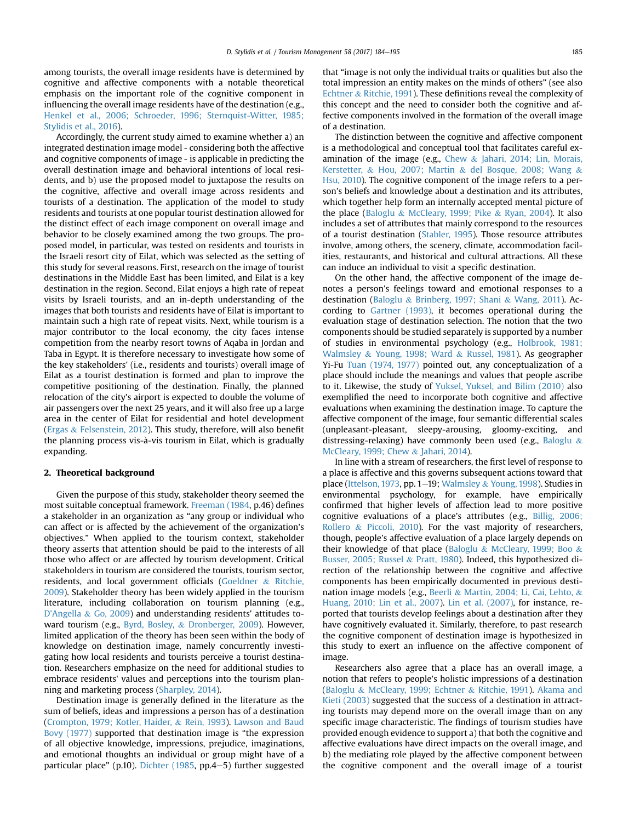among tourists, the overall image residents have is determined by cognitive and affective components with a notable theoretical emphasis on the important role of the cognitive component in influencing the overall image residents have of the destination (e.g., [Henkel et al., 2006; Schroeder, 1996; Sternquist-Witter, 1985;](#page-10-0) [Stylidis et al., 2016](#page-10-0)).

Accordingly, the current study aimed to examine whether a) an integrated destination image model - considering both the affective and cognitive components of image - is applicable in predicting the overall destination image and behavioral intentions of local residents, and b) use the proposed model to juxtapose the results on the cognitive, affective and overall image across residents and tourists of a destination. The application of the model to study residents and tourists at one popular tourist destination allowed for the distinct effect of each image component on overall image and behavior to be closely examined among the two groups. The proposed model, in particular, was tested on residents and tourists in the Israeli resort city of Eilat, which was selected as the setting of this study for several reasons. First, research on the image of tourist destinations in the Middle East has been limited, and Eilat is a key destination in the region. Second, Eilat enjoys a high rate of repeat visits by Israeli tourists, and an in-depth understanding of the images that both tourists and residents have of Eilat is important to maintain such a high rate of repeat visits. Next, while tourism is a major contributor to the local economy, the city faces intense competition from the nearby resort towns of Aqaba in Jordan and Taba in Egypt. It is therefore necessary to investigate how some of the key stakeholders' (i.e., residents and tourists) overall image of Eilat as a tourist destination is formed and plan to improve the competitive positioning of the destination. Finally, the planned relocation of the city's airport is expected to double the volume of air passengers over the next 25 years, and it will also free up a large area in the center of Eilat for residential and hotel development ([Ergas](#page-10-0) & [Felsenstein, 2012](#page-10-0)). This study, therefore, will also benefit the planning process vis-à-vis tourism in Eilat, which is gradually expanding.

#### 2. Theoretical background

Given the purpose of this study, stakeholder theory seemed the most suitable conceptual framework. [Freeman \(1984,](#page-10-0) p.46) defines a stakeholder in an organization as "any group or individual who can affect or is affected by the achievement of the organization's objectives." When applied to the tourism context, stakeholder theory asserts that attention should be paid to the interests of all those who affect or are affected by tourism development. Critical stakeholders in tourism are considered the tourists, tourism sector, residents, and local government officials [\(Goeldner](#page-10-0) & [Ritchie,](#page-10-0) [2009\)](#page-10-0). Stakeholder theory has been widely applied in the tourism literature, including collaboration on tourism planning (e.g., [D'Angella](#page-10-0) & [Go, 2009](#page-10-0)) and understanding residents' attitudes toward tourism (e.g., [Byrd, Bosley,](#page-10-0) & [Dronberger, 2009\)](#page-10-0). However, limited application of the theory has been seen within the body of knowledge on destination image, namely concurrently investigating how local residents and tourists perceive a tourist destination. Researchers emphasize on the need for additional studies to embrace residents' values and perceptions into the tourism planning and marketing process ([Sharpley, 2014\)](#page-11-0).

Destination image is generally defined in the literature as the sum of beliefs, ideas and impressions a person has of a destination ([Crompton, 1979; Kotler, Haider,](#page-10-0) & [Rein, 1993](#page-10-0)). [Lawson and Baud](#page-10-0) [Bovy \(1977\)](#page-10-0) supported that destination image is "the expression of all objective knowledge, impressions, prejudice, imaginations, and emotional thoughts an individual or group might have of a particular place" (p.10). Dichter  $(1985, pp.4-5)$  further suggested that "image is not only the individual traits or qualities but also the total impression an entity makes on the minds of others" (see also [Echtner](#page-10-0) & [Ritchie, 1991\)](#page-10-0). These definitions reveal the complexity of this concept and the need to consider both the cognitive and affective components involved in the formation of the overall image of a destination.

The distinction between the cognitive and affective component is a methodological and conceptual tool that facilitates careful examination of the image (e.g., [Chew](#page-10-0) & [Jahari, 2014; Lin, Morais,](#page-10-0) [Kerstetter,](#page-10-0) & [Hou, 2007; Martin](#page-10-0) & [del Bosque, 2008; Wang](#page-10-0) & [Hsu, 2010\)](#page-10-0). The cognitive component of the image refers to a person's beliefs and knowledge about a destination and its attributes, which together help form an internally accepted mental picture of the place [\(Baloglu](#page-10-0) & [McCleary, 1999; Pike](#page-10-0) & [Ryan, 2004\)](#page-10-0). It also includes a set of attributes that mainly correspond to the resources of a tourist destination [\(Stabler, 1995](#page-11-0)). Those resource attributes involve, among others, the scenery, climate, accommodation facilities, restaurants, and historical and cultural attractions. All these can induce an individual to visit a specific destination.

On the other hand, the affective component of the image denotes a person's feelings toward and emotional responses to a destination [\(Baloglu](#page-10-0) & [Brinberg, 1997; Shani](#page-10-0) & [Wang, 2011\)](#page-10-0). According to [Gartner \(1993\)](#page-10-0), it becomes operational during the evaluation stage of destination selection. The notion that the two components should be studied separately is supported by a number of studies in environmental psychology (e.g., [Holbrook, 1981;](#page-10-0) [Walmsley](#page-10-0) & [Young, 1998; Ward](#page-10-0) & [Russel, 1981](#page-10-0)). As geographer Yi-Fu [Tuan \(1974, 1977\)](#page-11-0) pointed out, any conceptualization of a place should include the meanings and values that people ascribe to it. Likewise, the study of [Yuksel, Yuksel, and Bilim \(2010\)](#page-11-0) also exemplified the need to incorporate both cognitive and affective evaluations when examining the destination image. To capture the affective component of the image, four semantic differential scales (unpleasant-pleasant, sleepy-arousing, gloomy-exciting, and distressing-relaxing) have commonly been used (e.g., [Baloglu](#page-10-0)  $\&$ [McCleary, 1999; Chew](#page-10-0) & [Jahari, 2014\)](#page-10-0).

In line with a stream of researchers, the first level of response to a place is affective and this governs subsequent actions toward that place [\(Ittelson, 1973,](#page-10-0) pp. 1–19; [Walmsley](#page-11-0) & [Young, 1998](#page-11-0)). Studies in environmental psychology, for example, have empirically confirmed that higher levels of affection lead to more positive cognitive evaluations of a place's attributes (e.g., [Billig, 2006;](#page-10-0) [Rollero](#page-10-0) & [Piccoli, 2010\)](#page-10-0). For the vast majority of researchers, though, people's affective evaluation of a place largely depends on their knowledge of that place [\(Baloglu](#page-10-0) & [McCleary, 1999; Boo](#page-10-0) & [Busser, 2005; Russel](#page-10-0) & [Pratt, 1980\)](#page-10-0). Indeed, this hypothesized direction of the relationship between the cognitive and affective components has been empirically documented in previous destination image models (e.g., [Beerli](#page-10-0) & [Martin, 2004; Li, Cai, Lehto,](#page-10-0) & [Huang, 2010; Lin et al., 2007\)](#page-10-0). [Lin et al. \(2007\)](#page-10-0), for instance, reported that tourists develop feelings about a destination after they have cognitively evaluated it. Similarly, therefore, to past research the cognitive component of destination image is hypothesized in this study to exert an influence on the affective component of image.

Researchers also agree that a place has an overall image, a notion that refers to people's holistic impressions of a destination ([Baloglu](#page-10-0) & [McCleary, 1999; Echtner](#page-10-0) & [Ritchie, 1991\)](#page-10-0). [Akama and](#page-10-0) [Kieti \(2003\)](#page-10-0) suggested that the success of a destination in attracting tourists may depend more on the overall image than on any specific image characteristic. The findings of tourism studies have provided enough evidence to support a) that both the cognitive and affective evaluations have direct impacts on the overall image, and b) the mediating role played by the affective component between the cognitive component and the overall image of a tourist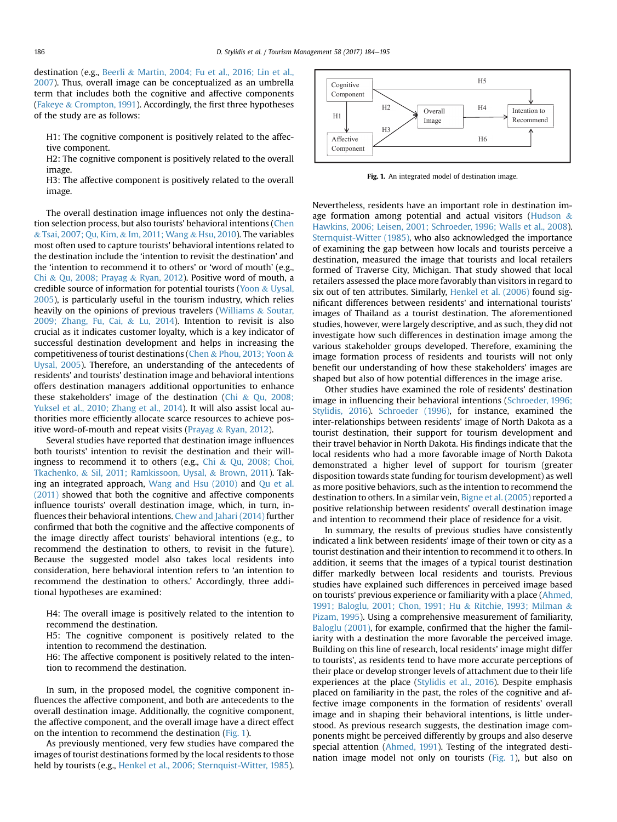destination (e.g., [Beerli](#page-10-0) & [Martin, 2004; Fu et al., 2016; Lin et al.,](#page-10-0) [2007\)](#page-10-0). Thus, overall image can be conceptualized as an umbrella term that includes both the cognitive and affective components ([Fakeye](#page-10-0) & [Crompton, 1991\)](#page-10-0). Accordingly, the first three hypotheses of the study are as follows:

H1: The cognitive component is positively related to the affective component.

H2: The cognitive component is positively related to the overall image.

H3: The affective component is positively related to the overall image.

The overall destination image influences not only the destination selection process, but also tourists' behavioral intentions ([Chen](#page-10-0) & [Tsai, 2007; Qu, Kim,](#page-10-0) & [Im, 2011; Wang](#page-10-0) & [Hsu, 2010](#page-10-0)). The variables most often used to capture tourists' behavioral intentions related to the destination include the 'intention to revisit the destination' and the 'intention to recommend it to others' or 'word of mouth' (e.g., [Chi](#page-10-0) & [Qu, 2008; Prayag](#page-10-0) & [Ryan, 2012\)](#page-10-0). Positive word of mouth, a credible source of information for potential tourists ([Yoon](#page-11-0) & [Uysal,](#page-11-0) [2005](#page-11-0)), is particularly useful in the tourism industry, which relies heavily on the opinions of previous travelers ([Williams](#page-11-0) & [Soutar,](#page-11-0) [2009; Zhang, Fu, Cai,](#page-11-0) & [Lu, 2014](#page-11-0)). Intention to revisit is also crucial as it indicates customer loyalty, which is a key indicator of successful destination development and helps in increasing the competitiveness of tourist destinations [\(Chen](#page-10-0) & [Phou, 2013; Yoon](#page-10-0) & [Uysal, 2005](#page-10-0)). Therefore, an understanding of the antecedents of residents' and tourists' destination image and behavioral intentions offers destination managers additional opportunities to enhance these stakeholders' image of the destination [\(Chi](#page-10-0) & [Qu, 2008;](#page-10-0) [Yuksel et al., 2010; Zhang et al., 2014](#page-10-0)). It will also assist local authorities more efficiently allocate scarce resources to achieve pos-itive word-of-mouth and repeat visits [\(Prayag](#page-11-0)  $&$  [Ryan, 2012](#page-11-0)).

Several studies have reported that destination image influences both tourists' intention to revisit the destination and their willingness to recommend it to others (e.g., [Chi](#page-10-0) & [Qu, 2008; Choi,](#page-10-0) [Tkachenko,](#page-10-0) & [Sil, 2011; Ramkissoon, Uysal,](#page-10-0) & [Brown, 2011\)](#page-10-0). Taking an integrated approach, [Wang and Hsu \(2010\)](#page-11-0) and [Qu et al.](#page-11-0) [\(2011\)](#page-11-0) showed that both the cognitive and affective components influence tourists' overall destination image, which, in turn, influences their behavioral intentions. [Chew and Jahari \(2014\)](#page-10-0) further confirmed that both the cognitive and the affective components of the image directly affect tourists' behavioral intentions (e.g., to recommend the destination to others, to revisit in the future). Because the suggested model also takes local residents into consideration, here behavioral intention refers to 'an intention to recommend the destination to others.' Accordingly, three additional hypotheses are examined:

H4: The overall image is positively related to the intention to recommend the destination.

H5: The cognitive component is positively related to the intention to recommend the destination.

H6: The affective component is positively related to the intention to recommend the destination.

In sum, in the proposed model, the cognitive component influences the affective component, and both are antecedents to the overall destination image. Additionally, the cognitive component, the affective component, and the overall image have a direct effect on the intention to recommend the destination (Fig. 1).

As previously mentioned, very few studies have compared the images of tourist destinations formed by the local residents to those held by tourists (e.g., [Henkel et al., 2006; Sternquist-Witter, 1985\)](#page-10-0).



Fig. 1. An integrated model of destination image.

Nevertheless, residents have an important role in destination im-age formation among potential and actual visitors ([Hudson](#page-10-0)  $&$ [Hawkins, 2006; Leisen, 2001; Schroeder, 1996; Walls et al., 2008\)](#page-10-0). [Sternquist-Witter \(1985\)](#page-11-0), who also acknowledged the importance of examining the gap between how locals and tourists perceive a destination, measured the image that tourists and local retailers formed of Traverse City, Michigan. That study showed that local retailers assessed the place more favorably than visitors in regard to six out of ten attributes. Similarly, [Henkel et al. \(2006\)](#page-10-0) found significant differences between residents' and international tourists' images of Thailand as a tourist destination. The aforementioned studies, however, were largely descriptive, and as such, they did not investigate how such differences in destination image among the various stakeholder groups developed. Therefore, examining the image formation process of residents and tourists will not only benefit our understanding of how these stakeholders' images are shaped but also of how potential differences in the image arise.

Other studies have examined the role of residents' destination image in influencing their behavioral intentions ([Schroeder, 1996;](#page-11-0) [Stylidis, 2016](#page-11-0)). [Schroeder \(1996\)](#page-11-0), for instance, examined the inter-relationships between residents' image of North Dakota as a tourist destination, their support for tourism development and their travel behavior in North Dakota. His findings indicate that the local residents who had a more favorable image of North Dakota demonstrated a higher level of support for tourism (greater disposition towards state funding for tourism development) as well as more positive behaviors, such as the intention to recommend the destination to others. In a similar vein, [Bigne et al. \(2005\)](#page-10-0) reported a positive relationship between residents' overall destination image and intention to recommend their place of residence for a visit.

In summary, the results of previous studies have consistently indicated a link between residents' image of their town or city as a tourist destination and their intention to recommend it to others. In addition, it seems that the images of a typical tourist destination differ markedly between local residents and tourists. Previous studies have explained such differences in perceived image based on tourists' previous experience or familiarity with a place ([Ahmed,](#page-10-0) [1991; Baloglu, 2001; Chon, 1991; Hu](#page-10-0) & [Ritchie, 1993; Milman](#page-10-0) & [Pizam, 1995](#page-10-0)). Using a comprehensive measurement of familiarity, [Baloglu \(2001\),](#page-10-0) for example, confirmed that the higher the familiarity with a destination the more favorable the perceived image. Building on this line of research, local residents' image might differ to tourists', as residents tend to have more accurate perceptions of their place or develop stronger levels of attachment due to their life experiences at the place [\(Stylidis et al., 2016\)](#page-11-0). Despite emphasis placed on familiarity in the past, the roles of the cognitive and affective image components in the formation of residents' overall image and in shaping their behavioral intentions, is little understood. As previous research suggests, the destination image components might be perceived differently by groups and also deserve special attention [\(Ahmed, 1991\)](#page-10-0). Testing of the integrated destination image model not only on tourists (Fig. 1), but also on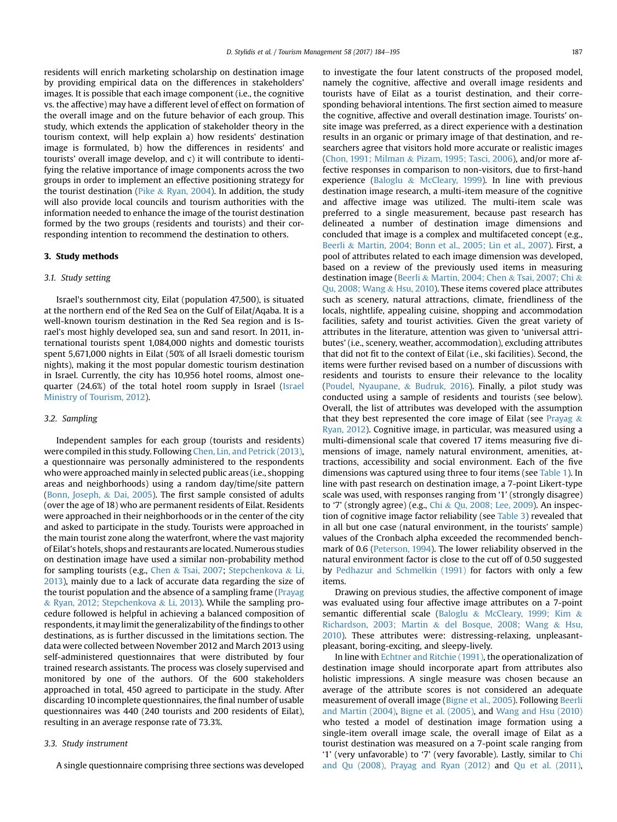residents will enrich marketing scholarship on destination image by providing empirical data on the differences in stakeholders' images. It is possible that each image component (i.e., the cognitive vs. the affective) may have a different level of effect on formation of the overall image and on the future behavior of each group. This study, which extends the application of stakeholder theory in the tourism context, will help explain a) how residents' destination image is formulated, b) how the differences in residents' and tourists' overall image develop, and c) it will contribute to identifying the relative importance of image components across the two groups in order to implement an effective positioning strategy for the tourist destination [\(Pike](#page-11-0) & [Ryan, 2004\)](#page-11-0). In addition, the study will also provide local councils and tourism authorities with the information needed to enhance the image of the tourist destination formed by the two groups (residents and tourists) and their corresponding intention to recommend the destination to others.

## 3. Study methods

# 3.1. Study setting

Israel's southernmost city, Eilat (population 47,500), is situated at the northern end of the Red Sea on the Gulf of Eilat/Aqaba. It is a well-known tourism destination in the Red Sea region and is Israel's most highly developed sea, sun and sand resort. In 2011, international tourists spent 1,084,000 nights and domestic tourists spent 5,671,000 nights in Eilat (50% of all Israeli domestic tourism nights), making it the most popular domestic tourism destination in Israel. Currently, the city has 10,956 hotel rooms, almost onequarter (24.6%) of the total hotel room supply in Israel [\(Israel](#page-10-0) [Ministry of Tourism, 2012](#page-10-0)).

# 3.2. Sampling

Independent samples for each group (tourists and residents) were compiled in this study. Following [Chen, Lin, and Petrick \(2013\),](#page-10-0) a questionnaire was personally administered to the respondents who were approached mainly in selected public areas (i.e., shopping areas and neighborhoods) using a random day/time/site pattern ([Bonn, Joseph,](#page-10-0) & [Dai, 2005](#page-10-0)). The first sample consisted of adults (over the age of 18) who are permanent residents of Eilat. Residents were approached in their neighborhoods or in the center of the city and asked to participate in the study. Tourists were approached in the main tourist zone along the waterfront, where the vast majority of Eilat's hotels, shops and restaurants are located. Numerous studies on destination image have used a similar non-probability method for sampling tourists (e.g., [Chen](#page-10-0) & [Tsai, 2007](#page-10-0); [Stepchenkova](#page-11-0) & [Li,](#page-11-0) [2013\)](#page-11-0), mainly due to a lack of accurate data regarding the size of the tourist population and the absence of a sampling frame [\(Prayag](#page-11-0) & [Ryan, 2012; Stepchenkova](#page-11-0) & [Li, 2013\)](#page-11-0). While the sampling procedure followed is helpful in achieving a balanced composition of respondents, it may limit the generalizability of the findings to other destinations, as is further discussed in the limitations section. The data were collected between November 2012 and March 2013 using self-administered questionnaires that were distributed by four trained research assistants. The process was closely supervised and monitored by one of the authors. Of the 600 stakeholders approached in total, 450 agreed to participate in the study. After discarding 10 incomplete questionnaires, the final number of usable questionnaires was 440 (240 tourists and 200 residents of Eilat), resulting in an average response rate of 73.3%.

# 3.3. Study instrument

A single questionnaire comprising three sections was developed

to investigate the four latent constructs of the proposed model, namely the cognitive, affective and overall image residents and tourists have of Eilat as a tourist destination, and their corresponding behavioral intentions. The first section aimed to measure the cognitive, affective and overall destination image. Tourists' onsite image was preferred, as a direct experience with a destination results in an organic or primary image of that destination, and researchers agree that visitors hold more accurate or realistic images ([Chon, 1991; Milman](#page-10-0) & [Pizam, 1995; Tasci, 2006\)](#page-10-0), and/or more affective responses in comparison to non-visitors, due to first-hand experience ([Baloglu](#page-10-0) & [McCleary, 1999](#page-10-0)). In line with previous destination image research, a multi-item measure of the cognitive and affective image was utilized. The multi-item scale was preferred to a single measurement, because past research has delineated a number of destination image dimensions and concluded that image is a complex and multifaceted concept (e.g., [Beerli](#page-10-0) & [Martin, 2004; Bonn et al., 2005; Lin et al., 2007](#page-10-0)). First, a pool of attributes related to each image dimension was developed, based on a review of the previously used items in measuring destination image [\(Beerli](#page-10-0) & [Martin, 2004; Chen](#page-10-0) & [Tsai, 2007; Chi](#page-10-0) & [Qu, 2008; Wang](#page-10-0) & [Hsu, 2010](#page-10-0)). These items covered place attributes such as scenery, natural attractions, climate, friendliness of the locals, nightlife, appealing cuisine, shopping and accommodation facilities, safety and tourist activities. Given the great variety of attributes in the literature, attention was given to 'universal attributes' (i.e., scenery, weather, accommodation), excluding attributes that did not fit to the context of Eilat (i.e., ski facilities). Second, the items were further revised based on a number of discussions with residents and tourists to ensure their relevance to the locality ([Poudel, Nyaupane,](#page-11-0) & [Budruk, 2016\)](#page-11-0). Finally, a pilot study was conducted using a sample of residents and tourists (see below). Overall, the list of attributes was developed with the assumption that they best represented the core image of Eilat (see [Prayag](#page-11-0)  $\&$ [Ryan, 2012](#page-11-0)). Cognitive image, in particular, was measured using a multi-dimensional scale that covered 17 items measuring five dimensions of image, namely natural environment, amenities, attractions, accessibility and social environment. Each of the five dimensions was captured using three to four items (see [Table 1](#page-4-0)). In line with past research on destination image, a 7-point Likert-type scale was used, with responses ranging from '1' (strongly disagree) to '7' (strongly agree) (e.g., [Chi](#page-10-0) & [Qu, 2008; Lee, 2009\)](#page-10-0). An inspection of cognitive image factor reliability (see [Table 3\)](#page-6-0) revealed that in all but one case (natural environment, in the tourists' sample) values of the Cronbach alpha exceeded the recommended benchmark of 0.6 ([Peterson, 1994](#page-11-0)). The lower reliability observed in the natural environment factor is close to the cut off of 0.50 suggested by [Pedhazur and Schmelkin \(1991\)](#page-11-0) for factors with only a few items.

Drawing on previous studies, the affective component of image was evaluated using four affective image attributes on a 7-point semantic differential scale ([Baloglu](#page-10-0) & [McCleary, 1999; Kim](#page-10-0) & [Richardson, 2003; Martin](#page-10-0) & [del Bosque, 2008; Wang](#page-10-0) & [Hsu,](#page-10-0) [2010\)](#page-10-0). These attributes were: distressing-relaxing, unpleasantpleasant, boring-exciting, and sleepy-lively.

In line with [Echtner and Ritchie \(1991\),](#page-10-0) the operationalization of destination image should incorporate apart from attributes also holistic impressions. A single measure was chosen because an average of the attribute scores is not considered an adequate measurement of overall image ([Bigne et al., 2005\)](#page-10-0). Following [Beerli](#page-10-0) [and Martin \(2004\)](#page-10-0), [Bigne et al. \(2005\),](#page-10-0) and [Wang and Hsu \(2010\)](#page-11-0) who tested a model of destination image formation using a single-item overall image scale, the overall image of Eilat as a tourist destination was measured on a 7-point scale ranging from '1' (very unfavorable) to '7' (very favorable). Lastly, similar to [Chi](#page-10-0) [and Qu \(2008\), Prayag and Ryan \(2012\)](#page-10-0) and [Qu et al. \(2011\),](#page-11-0)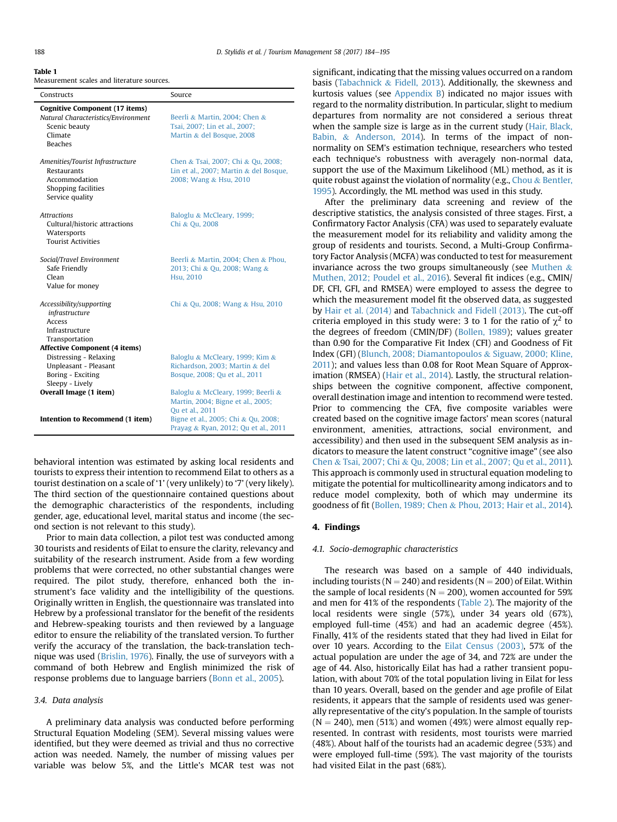<span id="page-4-0"></span>

| Table 1                                    |  |
|--------------------------------------------|--|
| Measurement scales and literature sources. |  |

| Constructs                                                                                                                      | Source                                                                                                                            |
|---------------------------------------------------------------------------------------------------------------------------------|-----------------------------------------------------------------------------------------------------------------------------------|
| <b>Cognitive Component (17 items)</b><br>Natural Characteristics/Environment<br>Scenic beauty<br>Climate<br><b>Beaches</b>      | Beerli & Martin, 2004; Chen &<br>Tsai, 2007; Lin et al., 2007;<br>Martin & del Bosque, 2008                                       |
| Amenities/Tourist Infrastructure<br><b>Restaurants</b><br>Accommodation<br>Shopping facilities<br>Service quality               | Chen & Tsai, 2007; Chi & Qu, 2008;<br>Lin et al., 2007; Martin & del Bosque,<br>2008; Wang & Hsu, 2010                            |
| <b>Attractions</b><br>Cultural/historic attractions<br>Watersports<br><b>Tourist Activities</b>                                 | Baloglu & McCleary, 1999;<br>Chi & Qu, 2008                                                                                       |
| Social/Travel Environment<br>Safe Friendly<br>Clean<br>Value for money                                                          | Beerli & Martin, 2004; Chen & Phou,<br>2013; Chi & Qu, 2008; Wang &<br><b>Hsu. 2010</b>                                           |
| Accessibility/supporting<br>infrastructure<br>Access<br>Infrastructure<br>Transportation                                        | Chi & Qu, 2008; Wang & Hsu, 2010                                                                                                  |
| <b>Affective Component (4 items)</b><br>Distressing - Relaxing<br>Unpleasant - Pleasant<br>Boring - Exciting<br>Sleepy - Lively | Baloglu & McCleary, 1999; Kim &<br>Richardson, 2003: Martin & del<br>Bosque, 2008; Qu et al., 2011                                |
| Overall Image (1 item)<br>Intention to Recommend (1 item)                                                                       | Baloglu & McCleary, 1999; Beerli &<br>Martin, 2004; Bigne et al., 2005;<br>Ou et al., 2011<br>Bigne et al., 2005; Chi & Qu, 2008; |
|                                                                                                                                 | Prayag & Ryan, 2012; Qu et al., 2011                                                                                              |

behavioral intention was estimated by asking local residents and tourists to express their intention to recommend Eilat to others as a tourist destination on a scale of '1' (very unlikely) to '7' (very likely). The third section of the questionnaire contained questions about the demographic characteristics of the respondents, including gender, age, educational level, marital status and income (the second section is not relevant to this study).

Prior to main data collection, a pilot test was conducted among 30 tourists and residents of Eilat to ensure the clarity, relevancy and suitability of the research instrument. Aside from a few wording problems that were corrected, no other substantial changes were required. The pilot study, therefore, enhanced both the instrument's face validity and the intelligibility of the questions. Originally written in English, the questionnaire was translated into Hebrew by a professional translator for the benefit of the residents and Hebrew-speaking tourists and then reviewed by a language editor to ensure the reliability of the translated version. To further verify the accuracy of the translation, the back-translation technique was used [\(Brislin, 1976](#page-10-0)). Finally, the use of surveyors with a command of both Hebrew and English minimized the risk of response problems due to language barriers [\(Bonn et al., 2005](#page-10-0)).

#### 3.4. Data analysis

A preliminary data analysis was conducted before performing Structural Equation Modeling (SEM). Several missing values were identified, but they were deemed as trivial and thus no corrective action was needed. Namely, the number of missing values per variable was below 5%, and the Little's MCAR test was not significant, indicating that the missing values occurred on a random basis ([Tabachnick](#page-11-0) & [Fidell, 2013](#page-11-0)). Additionally, the skewness and kurtosis values (see Appendix B) indicated no major issues with regard to the normality distribution. In particular, slight to medium departures from normality are not considered a serious threat when the sample size is large as in the current study ([Hair, Black,](#page-10-0) [Babin,](#page-10-0) & [Anderson, 2014\)](#page-10-0). In terms of the impact of nonnormality on SEM's estimation technique, researchers who tested each technique's robustness with averagely non-normal data, support the use of the Maximum Likelihood (ML) method, as it is quite robust against the violation of normality (e.g., [Chou](#page-10-0) & [Bentler,](#page-10-0) [1995](#page-10-0)). Accordingly, the ML method was used in this study.

After the preliminary data screening and review of the descriptive statistics, the analysis consisted of three stages. First, a Confirmatory Factor Analysis (CFA) was used to separately evaluate the measurement model for its reliability and validity among the group of residents and tourists. Second, a Multi-Group Confirmatory Factor Analysis (MCFA) was conducted to test for measurement invariance across the two groups simultaneously (see [Muthen](#page-11-0)  $\&$ [Muthen, 2012; Poudel et al., 2016\)](#page-11-0). Several fit indices (e.g., CMIN/ DF, CFI, GFI, and RMSEA) were employed to assess the degree to which the measurement model fit the observed data, as suggested by [Hair et al. \(2014\)](#page-10-0) and [Tabachnick and Fidell \(2013\)](#page-11-0). The cut-off criteria employed in this study were: 3 to 1 for the ratio of  $\chi^2$  to the degrees of freedom (CMIN/DF) ([Bollen, 1989](#page-10-0)); values greater than 0.90 for the Comparative Fit Index (CFI) and Goodness of Fit Index (GFI) ([Blunch, 2008; Diamantopoulos](#page-10-0) & [Siguaw, 2000; Kline,](#page-10-0) [2011\)](#page-10-0); and values less than 0.08 for Root Mean Square of Approx-imation (RMSEA) ([Hair et al., 2014\)](#page-10-0). Lastly, the structural relationships between the cognitive component, affective component, overall destination image and intention to recommend were tested. Prior to commencing the CFA, five composite variables were created based on the cognitive image factors' mean scores (natural environment, amenities, attractions, social environment, and accessibility) and then used in the subsequent SEM analysis as indicators to measure the latent construct "cognitive image" (see also [Chen](#page-10-0) & [Tsai, 2007; Chi](#page-10-0) & [Qu, 2008; Lin et al., 2007; Qu et al., 2011\)](#page-10-0). This approach is commonly used in structural equation modeling to mitigate the potential for multicollinearity among indicators and to reduce model complexity, both of which may undermine its goodness of fit [\(Bollen, 1989; Chen](#page-10-0) & [Phou, 2013; Hair et al., 2014\)](#page-10-0).

## 4. Findings

# 4.1. Socio-demographic characteristics

The research was based on a sample of 440 individuals, including tourists ( $N = 240$ ) and residents ( $N = 200$ ) of Eilat. Within the sample of local residents ( $N = 200$ ), women accounted for 59% and men for 41% of the respondents [\(Table 2](#page-5-0)). The majority of the local residents were single (57%), under 34 years old (67%), employed full-time (45%) and had an academic degree (45%). Finally, 41% of the residents stated that they had lived in Eilat for over 10 years. According to the [Eilat Census \(2003\),](#page-10-0) 57% of the actual population are under the age of 34, and 72% are under the age of 44. Also, historically Eilat has had a rather transient population, with about 70% of the total population living in Eilat for less than 10 years. Overall, based on the gender and age profile of Eilat residents, it appears that the sample of residents used was generally representative of the city's population. In the sample of tourists  $(N = 240)$ , men (51%) and women (49%) were almost equally represented. In contrast with residents, most tourists were married (48%). About half of the tourists had an academic degree (53%) and were employed full-time (59%). The vast majority of the tourists had visited Eilat in the past (68%).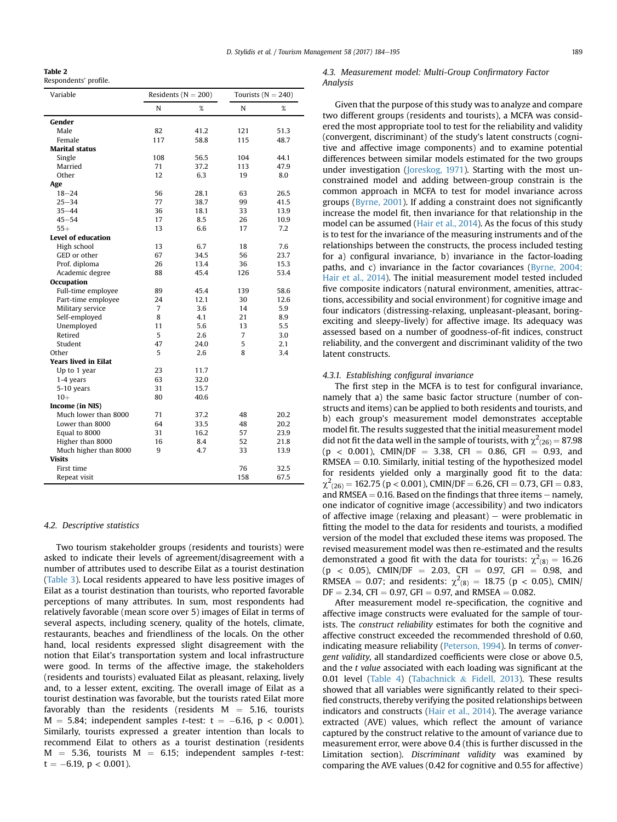<span id="page-5-0"></span>Table 2 Respondents' profile.

| Variable                    | Residents ( $N = 200$ ) |      |     | Tourists ( $N = 240$ ) |
|-----------------------------|-------------------------|------|-----|------------------------|
|                             | N                       | %    | N   | %                      |
| Gender                      |                         |      |     |                        |
| Male                        | 82                      | 41.2 | 121 | 51.3                   |
| Female                      | 117                     | 58.8 | 115 | 48.7                   |
| <b>Marital status</b>       |                         |      |     |                        |
| Single                      | 108                     | 56.5 | 104 | 44.1                   |
| Married                     | 71                      | 37.2 | 113 | 47.9                   |
| Other                       | 12                      | 6.3  | 19  | 8.0                    |
| Age                         |                         |      |     |                        |
| $18 - 24$                   | 56                      | 28.1 | 63  | 26.5                   |
| $25 - 34$                   | 77                      | 38.7 | 99  | 41.5                   |
| $35 - 44$                   | 36                      | 18.1 | 33  | 13.9                   |
| $45 - 54$                   | 17                      | 8.5  | 26  | 10.9                   |
| $55+$                       | 13                      | 6.6  | 17  | 7.2                    |
| <b>Level of education</b>   |                         |      |     |                        |
| High school                 | 13                      | 6.7  | 18  | 7.6                    |
| GED or other                | 67                      | 34.5 | 56  | 23.7                   |
| Prof. diploma               | 26                      | 13.4 | 36  | 15.3                   |
| Academic degree             | 88                      | 45.4 | 126 | 53.4                   |
| <b>Occupation</b>           |                         |      |     |                        |
| Full-time employee          | 89                      | 45.4 | 139 | 58.6                   |
| Part-time employee          | 24                      | 12.1 | 30  | 12.6                   |
| Military service            | 7                       | 3.6  | 14  | 5.9                    |
| Self-employed               | 8                       | 4.1  | 21  | 8.9                    |
| Unemployed                  | 11                      | 5.6  | 13  | 5.5                    |
| Retired                     | 5                       | 2.6  | 7   | 3.0                    |
| Student                     | 47                      | 24.0 | 5   | 2.1                    |
| Other                       | 5                       | 2.6  | 8   | 3.4                    |
| <b>Years lived in Eilat</b> |                         |      |     |                        |
| Up to 1 year                | 23                      | 11.7 |     |                        |
| 1-4 years                   | 63                      | 32.0 |     |                        |
| 5-10 years                  | 31                      | 15.7 |     |                        |
| $10+$                       | 80                      | 40.6 |     |                        |
| Income (in NIS)             |                         |      |     |                        |
| Much lower than 8000        | 71                      | 37.2 | 48  | 20.2                   |
| Lower than 8000             | 64                      | 33.5 | 48  | 20.2                   |
| Equal to 8000               | 31                      | 16.2 | 57  | 23.9                   |
| Higher than 8000            | 16                      | 8.4  | 52  | 21.8                   |
| Much higher than 8000       | 9                       | 4.7  | 33  | 13.9                   |
| <b>Visits</b>               |                         |      |     |                        |
| First time                  |                         |      | 76  | 32.5                   |
| Repeat visit                |                         |      | 158 | 67.5                   |

#### 4.2. Descriptive statistics

Two tourism stakeholder groups (residents and tourists) were asked to indicate their levels of agreement/disagreement with a number of attributes used to describe Eilat as a tourist destination ([Table 3\)](#page-6-0). Local residents appeared to have less positive images of Eilat as a tourist destination than tourists, who reported favorable perceptions of many attributes. In sum, most respondents had relatively favorable (mean score over 5) images of Eilat in terms of several aspects, including scenery, quality of the hotels, climate, restaurants, beaches and friendliness of the locals. On the other hand, local residents expressed slight disagreement with the notion that Eilat's transportation system and local infrastructure were good. In terms of the affective image, the stakeholders (residents and tourists) evaluated Eilat as pleasant, relaxing, lively and, to a lesser extent, exciting. The overall image of Eilat as a tourist destination was favorable, but the tourists rated Eilat more favorably than the residents (residents  $M = 5.16$ , tourists  $M = 5.84$ ; independent samples *t*-test:  $t = -6.16$ ,  $p < 0.001$ ). Similarly, tourists expressed a greater intention than locals to recommend Eilat to others as a tourist destination (residents  $M = 5.36$ , tourists  $M = 6.15$ ; independent samples t-test:  $t = -6.19$ ,  $p < 0.001$ ).

# 4.3. Measurement model: Multi-Group Confirmatory Factor Analysis

Given that the purpose of this study was to analyze and compare two different groups (residents and tourists), a MCFA was considered the most appropriate tool to test for the reliability and validity (convergent, discriminant) of the study's latent constructs (cognitive and affective image components) and to examine potential differences between similar models estimated for the two groups under investigation [\(Joreskog, 1971](#page-10-0)). Starting with the most unconstrained model and adding between-group constrain is the common approach in MCFA to test for model invariance across groups [\(Byrne, 2001\)](#page-10-0). If adding a constraint does not significantly increase the model fit, then invariance for that relationship in the model can be assumed [\(Hair et al., 2014](#page-10-0)). As the focus of this study is to test for the invariance of the measuring instruments and of the relationships between the constructs, the process included testing for a) configural invariance, b) invariance in the factor-loading paths, and c) invariance in the factor covariances ([Byrne, 2004;](#page-10-0) [Hair et al., 2014](#page-10-0)). The initial measurement model tested included five composite indicators (natural environment, amenities, attractions, accessibility and social environment) for cognitive image and four indicators (distressing-relaxing, unpleasant-pleasant, boringexciting and sleepy-lively) for affective image. Its adequacy was assessed based on a number of goodness-of-fit indices, construct reliability, and the convergent and discriminant validity of the two latent constructs.

#### 4.3.1. Establishing configural invariance

The first step in the MCFA is to test for configural invariance, namely that a) the same basic factor structure (number of constructs and items) can be applied to both residents and tourists, and b) each group's measurement model demonstrates acceptable model fit. The results suggested that the initial measurement model did not fit the data well in the sample of tourists, with  $\chi^2_{(26)} = 87.98$  $(p < 0.001)$ , CMIN/DF = 3.38, CFI = 0.86, GFI = 0.93, and  $RMSEA = 0.10$ . Similarly, initial testing of the hypothesized model for residents yielded only a marginally good fit to the data:  $\chi^2_{(26)} = 162.75$  (p < 0.001), CMIN/DF = 6.26, CFI = 0.73, GFI = 0.83, and RMSEA  $= 0.16$ . Based on the findings that three items  $-$  namely, one indicator of cognitive image (accessibility) and two indicators of affective image (relaxing and pleasant)  $-$  were problematic in fitting the model to the data for residents and tourists, a modified version of the model that excluded these items was proposed. The revised measurement model was then re-estimated and the results demonstrated a good fit with the data for tourists:  $\chi^2_{(8)} = 16.26$  $(p < 0.05)$ , CMIN/DF = 2.03, CFI = 0.97, GFI = 0.98, and RMSEA = 0.07; and residents:  $\chi^2_{(8)} = 18.75$  (p < 0.05), CMIN/  $DF = 2.34$ , CFI = 0.97, GFI = 0.97, and RMSEA = 0.082.

After measurement model re-specification, the cognitive and affective image constructs were evaluated for the sample of tourists. The construct reliability estimates for both the cognitive and affective construct exceeded the recommended threshold of 0.60, indicating measure reliability [\(Peterson, 1994\)](#page-11-0). In terms of convergent validity, all standardized coefficients were close or above 0.5, and the t value associated with each loading was significant at the 0.01 level ([Table 4](#page-6-0)) ([Tabachnick](#page-11-0) & [Fidell, 2013](#page-11-0)). These results showed that all variables were significantly related to their specified constructs, thereby verifying the posited relationships between indicators and constructs ([Hair et al., 2014](#page-10-0)). The average variance extracted (AVE) values, which reflect the amount of variance captured by the construct relative to the amount of variance due to measurement error, were above 0.4 (this is further discussed in the Limitation section). Discriminant validity was examined by comparing the AVE values (0.42 for cognitive and 0.55 for affective)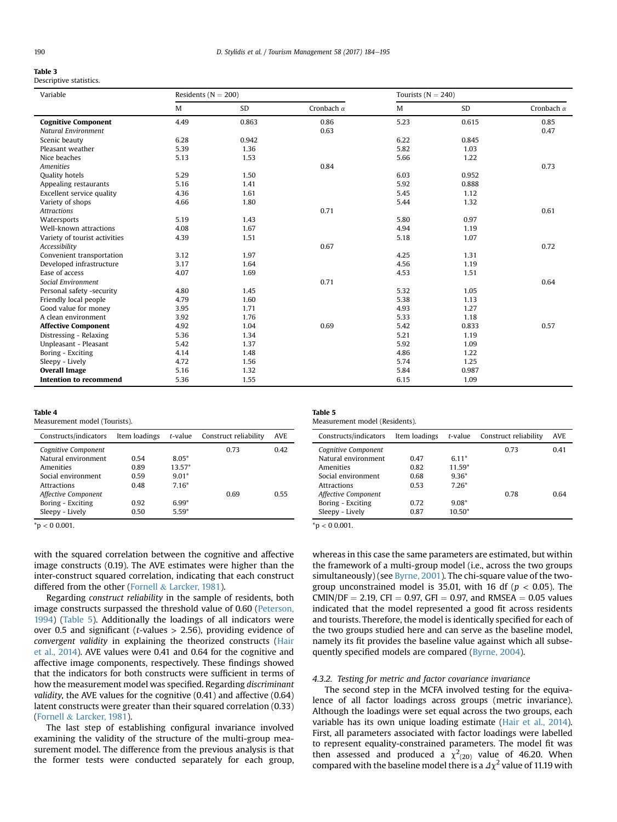#### <span id="page-6-0"></span>Table 3

Descriptive statistics.

| Variable                      | Residents ( $N = 200$ ) |       |                   | Tourists ( $N = 240$ ) |       |                   |  |
|-------------------------------|-------------------------|-------|-------------------|------------------------|-------|-------------------|--|
|                               | M                       | SD    | Cronbach $\alpha$ | M                      | SD    | Cronbach $\alpha$ |  |
| <b>Cognitive Component</b>    | 4.49                    | 0.863 | 0.86              | 5.23                   | 0.615 | 0.85              |  |
| Natural Environment           |                         |       | 0.63              |                        |       | 0.47              |  |
| Scenic beauty                 | 6.28                    | 0.942 |                   | 6.22                   | 0.845 |                   |  |
| Pleasant weather              | 5.39                    | 1.36  |                   | 5.82                   | 1.03  |                   |  |
| Nice beaches                  | 5.13                    | 1.53  |                   | 5.66                   | 1.22  |                   |  |
| <b>Amenities</b>              |                         |       | 0.84              |                        |       | 0.73              |  |
| Quality hotels                | 5.29                    | 1.50  |                   | 6.03                   | 0.952 |                   |  |
| Appealing restaurants         | 5.16                    | 1.41  |                   | 5.92                   | 0.888 |                   |  |
| Excellent service quality     | 4.36                    | 1.61  |                   | 5.45                   | 1.12  |                   |  |
| Variety of shops              | 4.66                    | 1.80  |                   | 5.44                   | 1.32  |                   |  |
| <b>Attractions</b>            |                         |       | 0.71              |                        |       | 0.61              |  |
| Watersports                   | 5.19                    | 1.43  |                   | 5.80                   | 0.97  |                   |  |
| Well-known attractions        | 4.08                    | 1.67  |                   | 4.94                   | 1.19  |                   |  |
| Variety of tourist activities | 4.39                    | 1.51  |                   | 5.18                   | 1.07  |                   |  |
| Accessibility                 |                         |       | 0.67              |                        |       | 0.72              |  |
| Convenient transportation     | 3.12                    | 1.97  |                   | 4.25                   | 1.31  |                   |  |
| Developed infrastructure      | 3.17                    | 1.64  |                   | 4.56                   | 1.19  |                   |  |
| Ease of access                | 4.07                    | 1.69  |                   | 4.53                   | 1.51  |                   |  |
| <b>Social Environment</b>     |                         |       | 0.71              |                        |       | 0.64              |  |
| Personal safety -security     | 4.80                    | 1.45  |                   | 5.32                   | 1.05  |                   |  |
| Friendly local people         | 4.79                    | 1.60  |                   | 5.38                   | 1.13  |                   |  |
| Good value for money          | 3.95                    | 1.71  |                   | 4.93                   | 1.27  |                   |  |
| A clean environment           | 3.92                    | 1.76  |                   | 5.33                   | 1.18  |                   |  |
| <b>Affective Component</b>    | 4.92                    | 1.04  | 0.69              | 5.42                   | 0.833 | 0.57              |  |
| Distressing - Relaxing        | 5.36                    | 1.34  |                   | 5.21                   | 1.19  |                   |  |
| Unpleasant - Pleasant         | 5.42                    | 1.37  |                   | 5.92                   | 1.09  |                   |  |
| Boring - Exciting             | 4.14                    | 1.48  |                   | 4.86                   | 1.22  |                   |  |
| Sleepy - Lively               | 4.72                    | 1.56  |                   | 5.74                   | 1.25  |                   |  |
| <b>Overall Image</b>          | 5.16                    | 1.32  |                   | 5.84                   | 0.987 |                   |  |
| <b>Intention to recommend</b> | 5.36                    | 1.55  |                   | 6.15                   | 1.09  |                   |  |

#### Table 4

Measurement model (Tourists).

| Constructs/indicators | Item loadings | t-value  | Construct reliability | <b>AVE</b> |
|-----------------------|---------------|----------|-----------------------|------------|
| Cognitive Component   |               |          | 0.73                  | 0.42       |
| Natural environment   | 0.54          | $8.05*$  |                       |            |
| Amenities             | 0.89          | $13.57*$ |                       |            |
| Social environment    | 0.59          | $9.01*$  |                       |            |
| <b>Attractions</b>    | 0.48          | $716*$   |                       |            |
| Affective Component   |               |          | 0.69                  | 0.55       |
| Boring - Exciting     | 0.92          | $6.99*$  |                       |            |
| Sleepy - Lively       | 0.50          | $5.59*$  |                       |            |

 $*$ p < 0 0.001.

with the squared correlation between the cognitive and affective image constructs (0.19). The AVE estimates were higher than the inter-construct squared correlation, indicating that each construct differed from the other [\(Fornell](#page-10-0) & [Larcker, 1981\)](#page-10-0).

Regarding construct reliability in the sample of residents, both image constructs surpassed the threshold value of 0.60 [\(Peterson,](#page-11-0) [1994](#page-11-0)) (Table 5). Additionally the loadings of all indicators were over 0.5 and significant (*t*-values  $>$  2.56), providing evidence of convergent validity in explaining the theorized constructs ([Hair](#page-10-0) [et al., 2014\)](#page-10-0). AVE values were 0.41 and 0.64 for the cognitive and affective image components, respectively. These findings showed that the indicators for both constructs were sufficient in terms of how the measurement model was specified. Regarding discriminant validity, the AVE values for the cognitive (0.41) and affective (0.64) latent constructs were greater than their squared correlation (0.33) ([Fornell](#page-10-0) & [Larcker, 1981\)](#page-10-0).

The last step of establishing configural invariance involved examining the validity of the structure of the multi-group measurement model. The difference from the previous analysis is that the former tests were conducted separately for each group,

| Table 5                       |  |
|-------------------------------|--|
| Measurement model (Residents) |  |

| Constructs/indicators | Item loadings | t-value  | Construct reliability | <b>AVE</b> |
|-----------------------|---------------|----------|-----------------------|------------|
| Cognitive Component   |               |          | 0.73                  | 0.41       |
| Natural environment   | 0.47          | $6.11*$  |                       |            |
| Amenities             | 0.82          | $11.59*$ |                       |            |
| Social environment    | 0.68          | $9.36*$  |                       |            |
| <b>Attractions</b>    | 0.53          | $7.26*$  |                       |            |
| Affective Component   |               |          | 0.78                  | 0.64       |
| Boring - Exciting     | 0.72          | $9.08*$  |                       |            |
| Sleepy - Lively       | 0.87          | $10.50*$ |                       |            |
|                       |               |          |                       |            |

 $*$ p < 0 0.001.

whereas in this case the same parameters are estimated, but within the framework of a multi-group model (i.e., across the two groups simultaneously) (see [Byrne, 2001\)](#page-10-0). The chi-square value of the twogroup unconstrained model is 35.01, with 16 df ( $p < 0.05$ ). The  $CMIN/DF = 2.19$ , CFI = 0.97, GFI = 0.97, and RMSEA = 0.05 values indicated that the model represented a good fit across residents and tourists. Therefore, the model is identically specified for each of the two groups studied here and can serve as the baseline model, namely its fit provides the baseline value against which all subsequently specified models are compared [\(Byrne, 2004](#page-10-0)).

#### 4.3.2. Testing for metric and factor covariance invariance

The second step in the MCFA involved testing for the equivalence of all factor loadings across groups (metric invariance). Although the loadings were set equal across the two groups, each variable has its own unique loading estimate [\(Hair et al., 2014\)](#page-10-0). First, all parameters associated with factor loadings were labelled to represent equality-constrained parameters. The model fit was then assessed and produced a  $\chi^2_{(20)}$  value of 46.20. When compared with the baseline model there is a  $\Delta\chi^2$  value of 11.19 with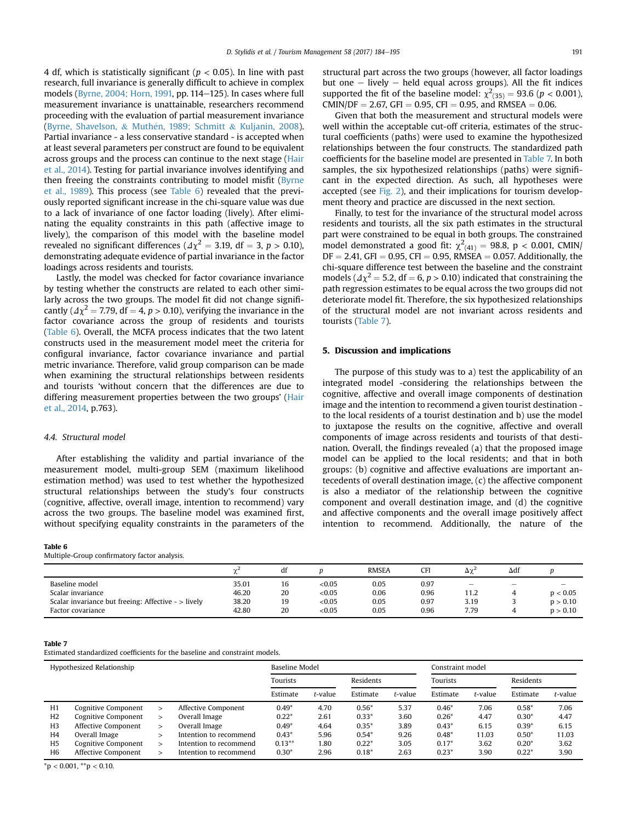4 df, which is statistically significant ( $p < 0.05$ ). In line with past research, full invariance is generally difficult to achieve in complex models [\(Byrne, 2004; Horn, 1991,](#page-10-0) pp. 114-125). In cases where full measurement invariance is unattainable, researchers recommend proceeding with the evaluation of partial measurement invariance ([Byrne, Shavelson,](#page-10-0) & [Muth](#page-10-0)e[n, 1989; Schmitt](#page-10-0) & [Kuljanin, 2008\)](#page-10-0). Partial invariance - a less conservative standard - is accepted when at least several parameters per construct are found to be equivalent across groups and the process can continue to the next stage [\(Hair](#page-10-0) [et al., 2014\)](#page-10-0). Testing for partial invariance involves identifying and then freeing the constraints contributing to model misfit ([Byrne](#page-10-0) [et al., 1989\)](#page-10-0). This process (see Table 6) revealed that the previously reported significant increase in the chi-square value was due to a lack of invariance of one factor loading (lively). After eliminating the equality constraints in this path (affective image to lively), the comparison of this model with the baseline model revealed no significant differences ( $\Delta \chi^2$  = 3.19, df = 3, p > 0.10), demonstrating adequate evidence of partial invariance in the factor loadings across residents and tourists.

Lastly, the model was checked for factor covariance invariance by testing whether the constructs are related to each other similarly across the two groups. The model fit did not change significantly ( $\Delta \chi^2$  = 7.79, df = 4, p > 0.10), verifying the invariance in the factor covariance across the group of residents and tourists (Table 6). Overall, the MCFA process indicates that the two latent constructs used in the measurement model meet the criteria for configural invariance, factor covariance invariance and partial metric invariance. Therefore, valid group comparison can be made when examining the structural relationships between residents and tourists 'without concern that the differences are due to differing measurement properties between the two groups' [\(Hair](#page-10-0) [et al., 2014](#page-10-0), p.763).

#### 4.4. Structural model

After establishing the validity and partial invariance of the measurement model, multi-group SEM (maximum likelihood estimation method) was used to test whether the hypothesized structural relationships between the study's four constructs (cognitive, affective, overall image, intention to recommend) vary across the two groups. The baseline model was examined first, without specifying equality constraints in the parameters of the

#### Table 6

Multiple-Group confirmatory factor analysis.

structural part across the two groups (however, all factor loadings but one  $-$  lively  $-$  held equal across groups). All the fit indices supported the fit of the baseline model:  $\chi^2_{(35)} = 93.6$  ( $p < 0.001$ ),  $CMIN/DF = 2.67$ , GFI = 0.95, CFI = 0.95, and RMSEA = 0.06.

Given that both the measurement and structural models were well within the acceptable cut-off criteria, estimates of the structural coefficients (paths) were used to examine the hypothesized relationships between the four constructs. The standardized path coefficients for the baseline model are presented in Table 7. In both samples, the six hypothesized relationships (paths) were significant in the expected direction. As such, all hypotheses were accepted (see [Fig. 2\)](#page-8-0), and their implications for tourism development theory and practice are discussed in the next section.

Finally, to test for the invariance of the structural model across residents and tourists, all the six path estimates in the structural part were constrained to be equal in both groups. The constrained model demonstrated a good fit:  $\chi^2_{(41)} = 98.8$ , p < 0.001, CMIN/  $DF = 2.41$ ,  $GF = 0.95$ ,  $CFI = 0.95$ ,  $RMSEA = 0.057$ . Additionally, the chi-square difference test between the baseline and the constraint models ( $\Delta \chi^2$  = 5.2, df = 6, p > 0.10) indicated that constraining the path regression estimates to be equal across the two groups did not deteriorate model fit. Therefore, the six hypothesized relationships of the structural model are not invariant across residents and tourists (Table 7).

# 5. Discussion and implications

The purpose of this study was to a) test the applicability of an integrated model -considering the relationships between the cognitive, affective and overall image components of destination image and the intention to recommend a given tourist destination to the local residents of a tourist destination and b) use the model to juxtapose the results on the cognitive, affective and overall components of image across residents and tourists of that destination. Overall, the findings revealed (a) that the proposed image model can be applied to the local residents; and that in both groups: (b) cognitive and affective evaluations are important antecedents of overall destination image, (c) the affective component is also a mediator of the relationship between the cognitive component and overall destination image, and (d) the cognitive and affective components and the overall image positively affect intention to recommend. Additionally, the nature of the

|                                                     |       |    |        | <b>RMSEA</b> | CFI  | Δγ                       | $\Delta df$              |          |
|-----------------------------------------------------|-------|----|--------|--------------|------|--------------------------|--------------------------|----------|
| Baseline model                                      | 35.01 | 16 | < 0.05 | 0.05         | 0.97 | $\overline{\phantom{a}}$ | $\overline{\phantom{a}}$ | -        |
| Scalar invariance                                   | 46.20 | 20 | < 0.05 | 0.06         | 0.96 | 11.2                     | 4                        | p < 0.05 |
| Scalar invariance but freeing: Affective - > lively | 38.20 | 19 | < 0.05 | 0.05         | 0.97 | 3.19                     |                          | p > 0.10 |
| Factor covariance                                   | 42.80 | 20 | < 0.05 | 0.05         | 0.96 | 7.79                     |                          | p > 0.10 |

#### Table 7

Estimated standardized coefficients for the baseline and constraint models.

| Hypothesized Relationship |                     |   | <b>Baseline Model</b>  |           |           |          | Constraint model |          |           |          |         |
|---------------------------|---------------------|---|------------------------|-----------|-----------|----------|------------------|----------|-----------|----------|---------|
|                           |                     |   | Tourists               |           | Residents |          | Tourists         |          | Residents |          |         |
|                           |                     |   |                        | Estimate  | t-value   | Estimate | t-value          | Estimate | t-value   | Estimate | t-value |
| H1                        | Cognitive Component | ⋗ | Affective Component    | $0.49*$   | 4.70      | $0.56*$  | 5.37             | $0.46*$  | 7.06      | $0.58*$  | 7.06    |
| H <sub>2</sub>            | Cognitive Component | > | Overall Image          | $0.22*$   | 2.61      | $0.33*$  | 3.60             | $0.26*$  | 4.47      | $0.30*$  | 4.47    |
| H <sub>3</sub>            | Affective Component | ↘ | Overall Image          | $0.49*$   | 4.64      | $0.35*$  | 3.89             | $0.43*$  | 6.15      | $0.39*$  | 6.15    |
| H4                        | Overall Image       |   | Intention to recommend | $0.43*$   | 5.96      | $0.54*$  | 9.26             | $0.48*$  | 11.03     | $0.50*$  | 11.03   |
| H <sub>5</sub>            | Cognitive Component | ↘ | Intention to recommend | $0.13***$ | 1.80      | $0.22*$  | 3.05             | $0.17*$  | 3.62      | $0.20*$  | 3.62    |
| H <sub>6</sub>            | Affective Component |   | Intention to recommend | $0.30*$   | 2.96      | $0.18*$  | 2.63             | $0.23*$  | 3.90      | $0.22*$  | 3.90    |

 $\overline{p}$  < 0.001, \*\*p < 0.10.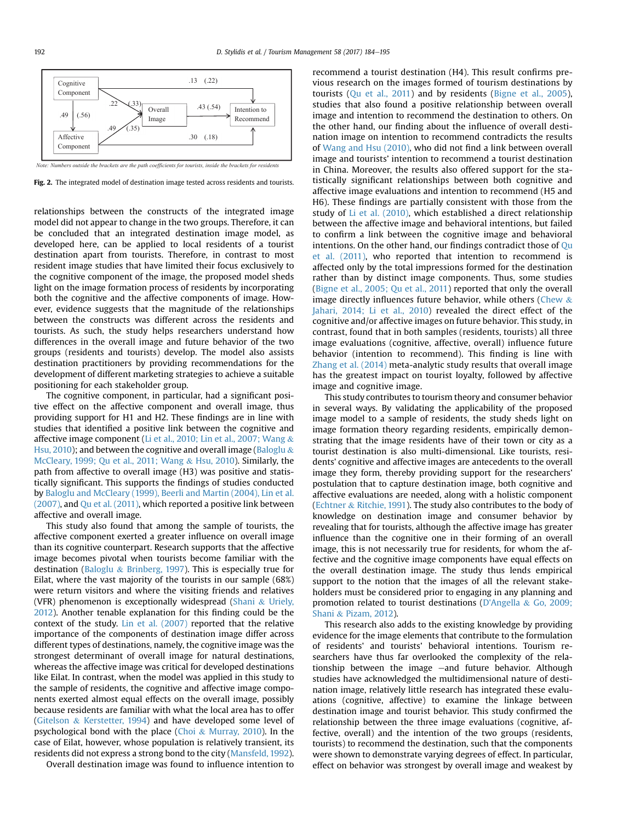<span id="page-8-0"></span>

Fig. 2. The integrated model of destination image tested across residents and tourists.

relationships between the constructs of the integrated image model did not appear to change in the two groups. Therefore, it can be concluded that an integrated destination image model, as developed here, can be applied to local residents of a tourist destination apart from tourists. Therefore, in contrast to most resident image studies that have limited their focus exclusively to the cognitive component of the image, the proposed model sheds light on the image formation process of residents by incorporating both the cognitive and the affective components of image. However, evidence suggests that the magnitude of the relationships between the constructs was different across the residents and tourists. As such, the study helps researchers understand how differences in the overall image and future behavior of the two groups (residents and tourists) develop. The model also assists destination practitioners by providing recommendations for the development of different marketing strategies to achieve a suitable positioning for each stakeholder group.

The cognitive component, in particular, had a significant positive effect on the affective component and overall image, thus providing support for H1 and H2. These findings are in line with studies that identified a positive link between the cognitive and affective image component ([Li et al., 2010; Lin et al., 2007; Wang](#page-10-0) & [Hsu, 2010](#page-10-0)); and between the cognitive and overall image ([Baloglu](#page-10-0)  $\&$ [McCleary, 1999; Qu et al., 2011; Wang](#page-10-0) & [Hsu, 2010](#page-10-0)). Similarly, the path from affective to overall image (H3) was positive and statistically significant. This supports the findings of studies conducted by [Baloglu and McCleary \(1999\), Beerli and Martin \(2004\), Lin et al.](#page-10-0) [\(2007\),](#page-10-0) and [Qu et al. \(2011\),](#page-11-0) which reported a positive link between affective and overall image.

This study also found that among the sample of tourists, the affective component exerted a greater influence on overall image than its cognitive counterpart. Research supports that the affective image becomes pivotal when tourists become familiar with the destination ([Baloglu](#page-10-0) & [Brinberg, 1997\)](#page-10-0). This is especially true for Eilat, where the vast majority of the tourists in our sample (68%) were return visitors and where the visiting friends and relatives (VFR) phenomenon is exceptionally widespread [\(Shani](#page-11-0)  $&$  [Uriely,](#page-11-0) [2012](#page-11-0)). Another tenable explanation for this finding could be the context of the study. [Lin et al. \(2007\)](#page-10-0) reported that the relative importance of the components of destination image differ across different types of destinations, namely, the cognitive image was the strongest determinant of overall image for natural destinations, whereas the affective image was critical for developed destinations like Eilat. In contrast, when the model was applied in this study to the sample of residents, the cognitive and affective image components exerted almost equal effects on the overall image, possibly because residents are familiar with what the local area has to offer ([Gitelson](#page-10-0) & [Kerstetter, 1994\)](#page-10-0) and have developed some level of psychological bond with the place ([Choi](#page-10-0)  $&$  [Murray, 2010\)](#page-10-0). In the case of Eilat, however, whose population is relatively transient, its residents did not express a strong bond to the city ([Mansfeld, 1992\)](#page-11-0).

Overall destination image was found to influence intention to

recommend a tourist destination (H4). This result confirms previous research on the images formed of tourism destinations by tourists ([Qu et al., 2011\)](#page-11-0) and by residents ([Bigne et al., 2005\)](#page-10-0), studies that also found a positive relationship between overall image and intention to recommend the destination to others. On the other hand, our finding about the influence of overall destination image on intention to recommend contradicts the results of [Wang and Hsu \(2010\)](#page-11-0), who did not find a link between overall image and tourists' intention to recommend a tourist destination in China. Moreover, the results also offered support for the statistically significant relationships between both cognitive and affective image evaluations and intention to recommend (H5 and H6). These findings are partially consistent with those from the study of [Li et al. \(2010\)](#page-10-0), which established a direct relationship between the affective image and behavioral intentions, but failed to confirm a link between the cognitive image and behavioral intentions. On the other hand, our findings contradict those of [Qu](#page-11-0) [et al. \(2011\),](#page-11-0) who reported that intention to recommend is affected only by the total impressions formed for the destination rather than by distinct image components. Thus, some studies ([Bigne et al., 2005; Qu et al., 2011\)](#page-10-0) reported that only the overall image directly influences future behavior, while others ([Chew](#page-10-0)  $\&$ [Jahari, 2014; Li et al., 2010\)](#page-10-0) revealed the direct effect of the cognitive and/or affective images on future behavior. This study, in contrast, found that in both samples (residents, tourists) all three image evaluations (cognitive, affective, overall) influence future behavior (intention to recommend). This finding is line with [Zhang et al. \(2014\)](#page-11-0) meta-analytic study results that overall image has the greatest impact on tourist loyalty, followed by affective image and cognitive image.

This study contributes to tourism theory and consumer behavior in several ways. By validating the applicability of the proposed image model to a sample of residents, the study sheds light on image formation theory regarding residents, empirically demonstrating that the image residents have of their town or city as a tourist destination is also multi-dimensional. Like tourists, residents' cognitive and affective images are antecedents to the overall image they form, thereby providing support for the researchers' postulation that to capture destination image, both cognitive and affective evaluations are needed, along with a holistic component ([Echtner](#page-10-0) & [Ritchie, 1991](#page-10-0)). The study also contributes to the body of knowledge on destination image and consumer behavior by revealing that for tourists, although the affective image has greater influence than the cognitive one in their forming of an overall image, this is not necessarily true for residents, for whom the affective and the cognitive image components have equal effects on the overall destination image. The study thus lends empirical support to the notion that the images of all the relevant stakeholders must be considered prior to engaging in any planning and promotion related to tourist destinations [\(D'Angella](#page-10-0) & [Go, 2009;](#page-10-0) [Shani](#page-10-0) & [Pizam, 2012\)](#page-10-0).

This research also adds to the existing knowledge by providing evidence for the image elements that contribute to the formulation of residents' and tourists' behavioral intentions. Tourism researchers have thus far overlooked the complexity of the relationship between the image  $-$ and future behavior. Although studies have acknowledged the multidimensional nature of destination image, relatively little research has integrated these evaluations (cognitive, affective) to examine the linkage between destination image and tourist behavior. This study confirmed the relationship between the three image evaluations (cognitive, affective, overall) and the intention of the two groups (residents, tourists) to recommend the destination, such that the components were shown to demonstrate varying degrees of effect. In particular, effect on behavior was strongest by overall image and weakest by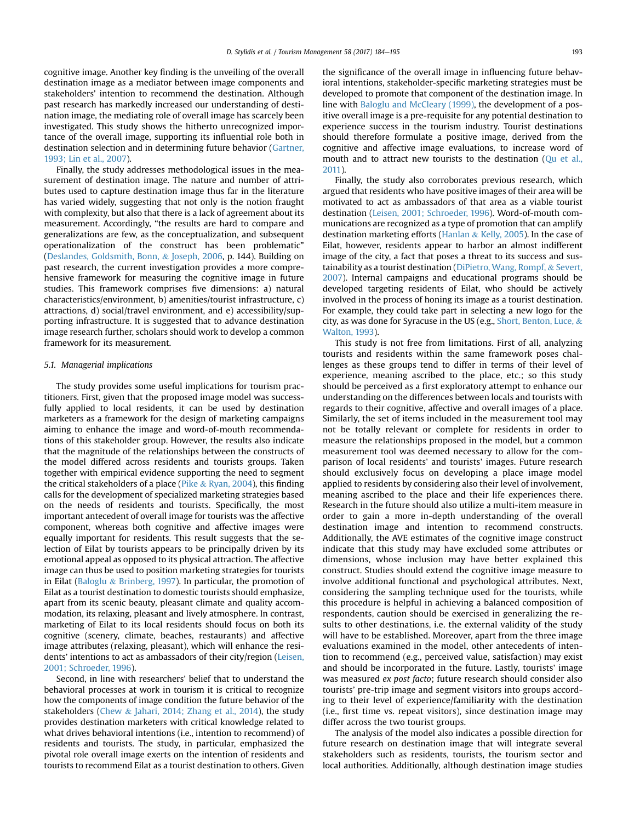cognitive image. Another key finding is the unveiling of the overall destination image as a mediator between image components and stakeholders' intention to recommend the destination. Although past research has markedly increased our understanding of destination image, the mediating role of overall image has scarcely been investigated. This study shows the hitherto unrecognized importance of the overall image, supporting its influential role both in destination selection and in determining future behavior [\(Gartner,](#page-10-0) [1993; Lin et al., 2007](#page-10-0)).

Finally, the study addresses methodological issues in the measurement of destination image. The nature and number of attributes used to capture destination image thus far in the literature has varied widely, suggesting that not only is the notion fraught with complexity, but also that there is a lack of agreement about its measurement. Accordingly, "the results are hard to compare and generalizations are few, as the conceptualization, and subsequent operationalization of the construct has been problematic" ([Deslandes, Goldsmith, Bonn,](#page-10-0) & [Joseph, 2006,](#page-10-0) p. 144). Building on past research, the current investigation provides a more comprehensive framework for measuring the cognitive image in future studies. This framework comprises five dimensions: a) natural characteristics/environment, b) amenities/tourist infrastructure, c) attractions, d) social/travel environment, and e) accessibility/supporting infrastructure. It is suggested that to advance destination image research further, scholars should work to develop a common framework for its measurement.

#### 5.1. Managerial implications

The study provides some useful implications for tourism practitioners. First, given that the proposed image model was successfully applied to local residents, it can be used by destination marketers as a framework for the design of marketing campaigns aiming to enhance the image and word-of-mouth recommendations of this stakeholder group. However, the results also indicate that the magnitude of the relationships between the constructs of the model differed across residents and tourists groups. Taken together with empirical evidence supporting the need to segment the critical stakeholders of a place [\(Pike](#page-11-0)  $&$  [Ryan, 2004\)](#page-11-0), this finding calls for the development of specialized marketing strategies based on the needs of residents and tourists. Specifically, the most important antecedent of overall image for tourists was the affective component, whereas both cognitive and affective images were equally important for residents. This result suggests that the selection of Eilat by tourists appears to be principally driven by its emotional appeal as opposed to its physical attraction. The affective image can thus be used to position marketing strategies for tourists in Eilat [\(Baloglu](#page-10-0) & [Brinberg, 1997\)](#page-10-0). In particular, the promotion of Eilat as a tourist destination to domestic tourists should emphasize, apart from its scenic beauty, pleasant climate and quality accommodation, its relaxing, pleasant and lively atmosphere. In contrast, marketing of Eilat to its local residents should focus on both its cognitive (scenery, climate, beaches, restaurants) and affective image attributes (relaxing, pleasant), which will enhance the residents' intentions to act as ambassadors of their city/region ([Leisen,](#page-10-0) [2001; Schroeder, 1996\)](#page-10-0).

Second, in line with researchers' belief that to understand the behavioral processes at work in tourism it is critical to recognize how the components of image condition the future behavior of the stakeholders ([Chew](#page-10-0) & [Jahari, 2014; Zhang et al., 2014](#page-10-0)), the study provides destination marketers with critical knowledge related to what drives behavioral intentions (i.e., intention to recommend) of residents and tourists. The study, in particular, emphasized the pivotal role overall image exerts on the intention of residents and tourists to recommend Eilat as a tourist destination to others. Given

the significance of the overall image in influencing future behavioral intentions, stakeholder-specific marketing strategies must be developed to promote that component of the destination image. In line with [Baloglu and McCleary \(1999\),](#page-10-0) the development of a positive overall image is a pre-requisite for any potential destination to experience success in the tourism industry. Tourist destinations should therefore formulate a positive image, derived from the cognitive and affective image evaluations, to increase word of mouth and to attract new tourists to the destination ([Qu et al.,](#page-11-0) [2011](#page-11-0)).

Finally, the study also corroborates previous research, which argued that residents who have positive images of their area will be motivated to act as ambassadors of that area as a viable tourist destination ([Leisen, 2001; Schroeder, 1996](#page-10-0)). Word-of-mouth communications are recognized as a type of promotion that can amplify destination marketing efforts ([Hanlan](#page-10-0) & [Kelly, 2005\)](#page-10-0). In the case of Eilat, however, residents appear to harbor an almost indifferent image of the city, a fact that poses a threat to its success and sustainability as a tourist destination ([DiPietro, Wang, Rompf,](#page-10-0) & [Severt,](#page-10-0) [2007\)](#page-10-0). Internal campaigns and educational programs should be developed targeting residents of Eilat, who should be actively involved in the process of honing its image as a tourist destination. For example, they could take part in selecting a new logo for the city, as was done for Syracuse in the US (e.g., [Short, Benton, Luce,](#page-11-0) & [Walton, 1993](#page-11-0)).

This study is not free from limitations. First of all, analyzing tourists and residents within the same framework poses challenges as these groups tend to differ in terms of their level of experience, meaning ascribed to the place, etc.; so this study should be perceived as a first exploratory attempt to enhance our understanding on the differences between locals and tourists with regards to their cognitive, affective and overall images of a place. Similarly, the set of items included in the measurement tool may not be totally relevant or complete for residents in order to measure the relationships proposed in the model, but a common measurement tool was deemed necessary to allow for the comparison of local residents' and tourists' images. Future research should exclusively focus on developing a place image model applied to residents by considering also their level of involvement, meaning ascribed to the place and their life experiences there. Research in the future should also utilize a multi-item measure in order to gain a more in-depth understanding of the overall destination image and intention to recommend constructs. Additionally, the AVE estimates of the cognitive image construct indicate that this study may have excluded some attributes or dimensions, whose inclusion may have better explained this construct. Studies should extend the cognitive image measure to involve additional functional and psychological attributes. Next, considering the sampling technique used for the tourists, while this procedure is helpful in achieving a balanced composition of respondents, caution should be exercised in generalizing the results to other destinations, i.e. the external validity of the study will have to be established. Moreover, apart from the three image evaluations examined in the model, other antecedents of intention to recommend (e.g., perceived value, satisfaction) may exist and should be incorporated in the future. Lastly, tourists' image was measured ex post facto; future research should consider also tourists' pre-trip image and segment visitors into groups according to their level of experience/familiarity with the destination (i.e., first time vs. repeat visitors), since destination image may differ across the two tourist groups.

The analysis of the model also indicates a possible direction for future research on destination image that will integrate several stakeholders such as residents, tourists, the tourism sector and local authorities. Additionally, although destination image studies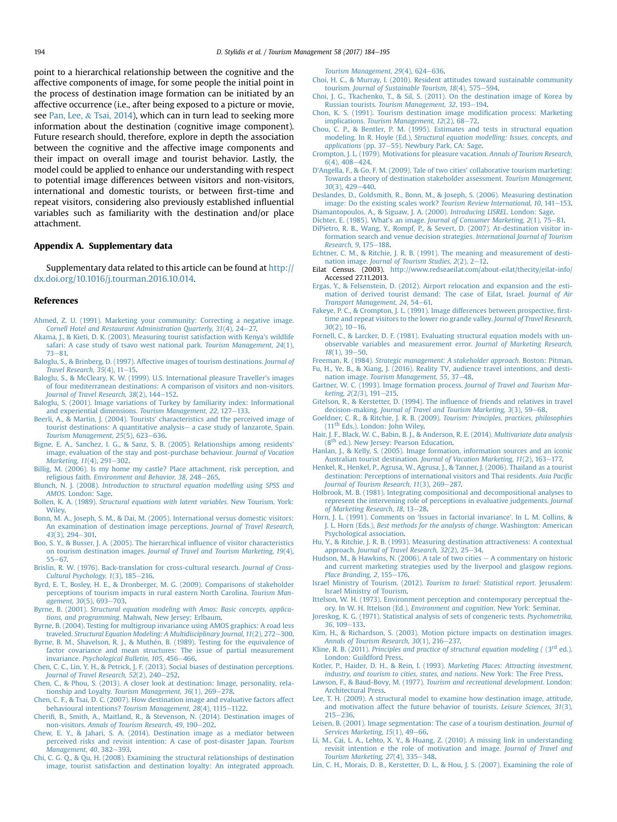<span id="page-10-0"></span>point to a hierarchical relationship between the cognitive and the affective components of image, for some people the initial point in the process of destination image formation can be initiated by an affective occurrence (i.e., after being exposed to a picture or movie, see [Pan, Lee,](#page-11-0) & [Tsai, 2014](#page-11-0)), which can in turn lead to seeking more information about the destination (cognitive image component). Future research should, therefore, explore in depth the association between the cognitive and the affective image components and their impact on overall image and tourist behavior. Lastly, the model could be applied to enhance our understanding with respect to potential image differences between visitors and non-visitors, international and domestic tourists, or between first-time and repeat visitors, considering also previously established influential variables such as familiarity with the destination and/or place attachment.

## Appendix A. Supplementary data

Supplementary data related to this article can be found at [http://](http://dx.doi.org/10.1016/j.tourman.2016.10.014) [dx.doi.org/10.1016/j.tourman.2016.10.014.](http://dx.doi.org/10.1016/j.tourman.2016.10.014)

#### References

- [Ahmed, Z. U. \(1991\). Marketing your community: Correcting a negative image.](http://refhub.elsevier.com/S0261-5177(16)30192-3/sref1) [Cornell Hotel and Restaurant Administration Quarterly, 31](http://refhub.elsevier.com/S0261-5177(16)30192-3/sref1)(4), 24-[27.](http://refhub.elsevier.com/S0261-5177(16)30192-3/sref1)
- [Akama, J., & Kieti, D. K. \(2003\). Measuring tourist satisfaction with Kenya's wildlife](http://refhub.elsevier.com/S0261-5177(16)30192-3/sref2) [safari: A case study of tsavo west national park.](http://refhub.elsevier.com/S0261-5177(16)30192-3/sref2) Tourism Management, 24(1),  $73 - 81.$  $73 - 81.$  $73 - 81.$
- [Baloglu, S., & Brinberg, D. \(1997\). Affective images of tourism destinations.](http://refhub.elsevier.com/S0261-5177(16)30192-3/sref5) Journal of Travel Research,  $35(4)$ ,  $11-15$  $11-15$ .
- [Baloglu, S., & McCleary, K. W. \(1999\). U.S. International pleasure Traveller's images](http://refhub.elsevier.com/S0261-5177(16)30192-3/sref6) [of four mediterranean destinations: A comparison of visitors and non-visitors.](http://refhub.elsevier.com/S0261-5177(16)30192-3/sref6) [Journal of Travel Research, 38](http://refhub.elsevier.com/S0261-5177(16)30192-3/sref6)(2), 144-[152](http://refhub.elsevier.com/S0261-5177(16)30192-3/sref6).
- [Baloglu, S. \(2001\). Image variations of Turkey by familiarity index: Informational](http://refhub.elsevier.com/S0261-5177(16)30192-3/sref7) [and experiential dimensions.](http://refhub.elsevier.com/S0261-5177(16)30192-3/sref7) Tourism Management,  $22$ ,  $127-133$ .
- [Beerli, A., & Martin, J. \(2004\). Tourists' characteristics and the perceived image of](http://refhub.elsevier.com/S0261-5177(16)30192-3/sref8) [tourist destinations: A quantitative analysis](http://refhub.elsevier.com/S0261-5177(16)30192-3/sref8)- [a case study of lanzarote, Spain.](http://refhub.elsevier.com/S0261-5177(16)30192-3/sref8) Tourism Management,  $25(5)$ , 623-[636](http://refhub.elsevier.com/S0261-5177(16)30192-3/sref8).
- [Bigne, E. A., Sanchez, I. G., & Sanz, S. B. \(2005\). Relationships among residents'](http://refhub.elsevier.com/S0261-5177(16)30192-3/sref9) [image, evaluation of the stay and post-purchase behaviour.](http://refhub.elsevier.com/S0261-5177(16)30192-3/sref9) Journal of Vacation [Marketing, 11](http://refhub.elsevier.com/S0261-5177(16)30192-3/sref9)(4), 291-[302](http://refhub.elsevier.com/S0261-5177(16)30192-3/sref9).
- [Billig, M. \(2006\). Is my home my castle? Place attachment, risk perception, and](http://refhub.elsevier.com/S0261-5177(16)30192-3/sref10) religious faith. [Environment and Behavior, 38](http://refhub.elsevier.com/S0261-5177(16)30192-3/sref10), 248-[265.](http://refhub.elsevier.com/S0261-5177(16)30192-3/sref10)
- Blunch, N. J. (2008). [Introduction to structural equation modelling using SPSS and](http://refhub.elsevier.com/S0261-5177(16)30192-3/sref11) AMOS[. London: Sage](http://refhub.elsevier.com/S0261-5177(16)30192-3/sref11).
- Bollen, K. A. (1989). [Structural equations with latent variables](http://refhub.elsevier.com/S0261-5177(16)30192-3/sref12). New Tourism. York: [Wiley](http://refhub.elsevier.com/S0261-5177(16)30192-3/sref12).
- [Bonn, M. A., Joseph, S. M., & Dai, M. \(2005\). International versus domestic visitors:](http://refhub.elsevier.com/S0261-5177(16)30192-3/sref13) [An examination of destination image perceptions.](http://refhub.elsevier.com/S0261-5177(16)30192-3/sref13) Journal of Travel Research, 43[\(3\), 294](http://refhub.elsevier.com/S0261-5177(16)30192-3/sref13)-[301.](http://refhub.elsevier.com/S0261-5177(16)30192-3/sref13)
- [Boo, S. Y., & Busser, J. A. \(2005\). The hierarchical in](http://refhub.elsevier.com/S0261-5177(16)30192-3/sref14)fluence of visitor characteristics on tourism destination images. [Journal of Travel and Tourism Marketing, 19](http://refhub.elsevier.com/S0261-5177(16)30192-3/sref14)(4),  $55 - 67.$  $55 - 67.$  $55 - 67.$
- [Brislin, R. W. \(1976\). Back-translation for cross-cultural research.](http://refhub.elsevier.com/S0261-5177(16)30192-3/sref15) Journal of Cross-
- [Cultural Psychology, 1](http://refhub.elsevier.com/S0261-5177(16)30192-3/sref15)(3), 185e[216](http://refhub.elsevier.com/S0261-5177(16)30192-3/sref15). [Byrd, E. T., Bosley, H. E., & Dronberger, M. G. \(2009\). Comparisons of stakeholder](http://refhub.elsevier.com/S0261-5177(16)30192-3/sref16) [perceptions of tourism impacts in rural eastern North Carolina.](http://refhub.elsevier.com/S0261-5177(16)30192-3/sref16) Tourism Man $a$ gement, 30(5), 693–[703.](http://refhub.elsevier.com/S0261-5177(16)30192-3/sref16)
- Byrne, B. (2001). [Structural equation modeling with Amos: Basic concepts, applica](http://refhub.elsevier.com/S0261-5177(16)30192-3/sref17)tions, and programming[. Mahwah, New Jersey: Erlbaum](http://refhub.elsevier.com/S0261-5177(16)30192-3/sref17).
- [Byrne, B. \(2004\). Testing for multigroup invariance using AMOS graphics: A road less](http://refhub.elsevier.com/S0261-5177(16)30192-3/sref18) traveled. [Structural Equation Modeling: A Multidisciplinary Journal, 11](http://refhub.elsevier.com/S0261-5177(16)30192-3/sref18)(2), 272-[300](http://refhub.elsevier.com/S0261-5177(16)30192-3/sref18).
- [Byrne, B. M., Shavelson, R. J., & Muth](http://refhub.elsevier.com/S0261-5177(16)30192-3/sref19)e[n, B. \(1989\). Testing for the equivalence of](http://refhub.elsevier.com/S0261-5177(16)30192-3/sref19) [factor covariance and mean structures: The issue of partial measurement](http://refhub.elsevier.com/S0261-5177(16)30192-3/sref19) invariance. [Psychological Bulletin, 105](http://refhub.elsevier.com/S0261-5177(16)30192-3/sref19), 456-[466](http://refhub.elsevier.com/S0261-5177(16)30192-3/sref19).
- [Chen, C. C., Lin, Y. H., & Petrick, J. F. \(2013\). Social biases of destination perceptions.](http://refhub.elsevier.com/S0261-5177(16)30192-3/sref20) [Journal of Travel Research, 52](http://refhub.elsevier.com/S0261-5177(16)30192-3/sref20)(2), 240-[252.](http://refhub.elsevier.com/S0261-5177(16)30192-3/sref20)
- [Chen, C., & Phou, S. \(2013\). A closer look at destination: Image, personality, rela](http://refhub.elsevier.com/S0261-5177(16)30192-3/sref21)tionship and Loyalty. Tourism Management,  $36(1)$ ,  $269-278$  $269-278$ .

[Chen, C. F., & Tsai, D. C. \(2007\). How destination image and evaluative factors affect](http://refhub.elsevier.com/S0261-5177(16)30192-3/sref22) behavioural intentions? [Tourism Management, 28](http://refhub.elsevier.com/S0261-5177(16)30192-3/sref22)(4), 1115-[1122.](http://refhub.elsevier.com/S0261-5177(16)30192-3/sref22)

- Cherifi[, B., Smith, A., Maitland, R., & Stevenson, N. \(2014\). Destination images of](http://refhub.elsevier.com/S0261-5177(16)30192-3/sref23) non-visitors. [Annals of Tourism Research, 49](http://refhub.elsevier.com/S0261-5177(16)30192-3/sref23), 190-[202.](http://refhub.elsevier.com/S0261-5177(16)30192-3/sref23)
- [Chew, E. Y., & Jahari, S. A. \(2014\). Destination image as a mediator between](http://refhub.elsevier.com/S0261-5177(16)30192-3/sref24) [perceived risks and revisit intention: A case of post-disaster Japan.](http://refhub.elsevier.com/S0261-5177(16)30192-3/sref24) Tourism [Management, 40](http://refhub.elsevier.com/S0261-5177(16)30192-3/sref24), 382-[393](http://refhub.elsevier.com/S0261-5177(16)30192-3/sref24).
- [Chi, C. G. Q., & Qu, H. \(2008\). Examining the structural relationships of destination](http://refhub.elsevier.com/S0261-5177(16)30192-3/sref25) [image, tourist satisfaction and destination loyalty: An integrated approach.](http://refhub.elsevier.com/S0261-5177(16)30192-3/sref25)

Tourism Management,  $29(4)$ ,  $624-636$  $624-636$ .

- [Choi, H. C., & Murray, I. \(2010\). Resident attitudes toward sustainable community](http://refhub.elsevier.com/S0261-5177(16)30192-3/sref26) tourism. [Journal of Sustainable Tourism, 18](http://refhub.elsevier.com/S0261-5177(16)30192-3/sref26)(4), 575-[594.](http://refhub.elsevier.com/S0261-5177(16)30192-3/sref26)
- [Choi, J. G., Tkachenko, T., & Sil, S. \(2011\). On the destination image of Korea by](http://refhub.elsevier.com/S0261-5177(16)30192-3/sref27) Russian tourists. [Tourism Management, 32](http://refhub.elsevier.com/S0261-5177(16)30192-3/sref27), 193-[194](http://refhub.elsevier.com/S0261-5177(16)30192-3/sref27).
- [Chon, K. S. \(1991\). Tourism destination image modi](http://refhub.elsevier.com/S0261-5177(16)30192-3/sref28)fication process: Marketing implications. Tourism Management,  $12(2)$ ,  $68-72$  $68-72$ .
- [Chou, C. P., & Bentler, P. M. \(1995\). Estimates and tests in structural equation](http://refhub.elsevier.com/S0261-5177(16)30192-3/sref106) modeling. In R. Hoyle (Ed.), [Structural equation modelling: Issues, concepts, and](http://refhub.elsevier.com/S0261-5177(16)30192-3/sref106) [applications](http://refhub.elsevier.com/S0261-5177(16)30192-3/sref106) (pp.  $37-55$ ). Newbury Park, CA: Sage.
- [Crompton, J. L. \(1979\). Motivations for pleasure vacation.](http://refhub.elsevier.com/S0261-5177(16)30192-3/sref29) Annals of Tourism Research,  $6(4)$ ,  $408-424$  $408-424$ .
- [D'Angella, F., & Go, F. M. \(2009\). Tale of two cities' collaborative tourism marketing:](http://refhub.elsevier.com/S0261-5177(16)30192-3/sref30) [Towards a theory of destination stakeholder assessment.](http://refhub.elsevier.com/S0261-5177(16)30192-3/sref30) Tourism Management,  $30(3)$ ,  $429-440$  $429-440$ .
- [Deslandes, D., Goldsmith, R., Bonn, M., & Joseph, S. \(2006\). Measuring destination](http://refhub.elsevier.com/S0261-5177(16)30192-3/sref31) [image: Do the existing scales work?](http://refhub.elsevier.com/S0261-5177(16)30192-3/sref31) Tourism Review International, 10, 141-[153](http://refhub.elsevier.com/S0261-5177(16)30192-3/sref31). [Diamantopoulos, A., & Siguaw, J. A. \(2000\).](http://refhub.elsevier.com/S0261-5177(16)30192-3/sref32) Introducing LISREL. London: Sage.

- [Dichter, E. \(1985\). What's an image.](http://refhub.elsevier.com/S0261-5177(16)30192-3/sref33) Journal of Consumer Marketing, 2(1), 75–[81.](http://refhub.elsevier.com/S0261-5177(16)30192-3/sref33)<br>[DiPietro, R. B., Wang, Y., Rompf, P., & Severt, D. \(2007\). At-destination visitor in](http://refhub.elsevier.com/S0261-5177(16)30192-3/sref34)[formation search and venue decision strategies.](http://refhub.elsevier.com/S0261-5177(16)30192-3/sref34) International Journal of Tourism [Research, 9](http://refhub.elsevier.com/S0261-5177(16)30192-3/sref34), 175-[188](http://refhub.elsevier.com/S0261-5177(16)30192-3/sref34).
- [Echtner, C. M., & Ritchie, J. R. B. \(1991\). The meaning and measurement of desti](http://refhub.elsevier.com/S0261-5177(16)30192-3/sref35)nation image. Journal of Tourism Studies,  $2(2)$ ,  $2-12$ .
- Eilat Census. (2003). <http://www.redseaeilat.com/about-eilat/thecity/eilat-info/> Accessed 27.11.2013.
- [Ergas, Y., & Felsenstein, D. \(2012\). Airport relocation and expansion and the esti](http://refhub.elsevier.com/S0261-5177(16)30192-3/sref37)[mation of derived tourist demand: The case of Eilat, Israel.](http://refhub.elsevier.com/S0261-5177(16)30192-3/sref37) Journal of Air [Transport Management, 24](http://refhub.elsevier.com/S0261-5177(16)30192-3/sref37), 54-[61.](http://refhub.elsevier.com/S0261-5177(16)30192-3/sref37)
- [Fakeye, P. C., & Crompton, J. L. \(1991\). Image differences between prospective,](http://refhub.elsevier.com/S0261-5177(16)30192-3/sref38) first[time and repeat visitors to the lower rio grande valley.](http://refhub.elsevier.com/S0261-5177(16)30192-3/sref38) Journal of Travel Research,  $30(2)$ ,  $10-16$  $10-16$ .
- [Fornell, C., & Larcker, D. F. \(1981\). Evaluating structural equation models with un](http://refhub.elsevier.com/S0261-5177(16)30192-3/sref39)[observable variables and measurement error.](http://refhub.elsevier.com/S0261-5177(16)30192-3/sref39) Journal of Marketing Research,  $18(1)$ , 39-[50](http://refhub.elsevier.com/S0261-5177(16)30192-3/sref39).
- Freeman, R. (1984). [Strategic management: A stakeholder approach](http://refhub.elsevier.com/S0261-5177(16)30192-3/sref40). Boston: Pitman. [Fu, H., Ye, B., & Xiang, J. \(2016\). Reality TV, audience travel intentions, and desti-](http://refhub.elsevier.com/S0261-5177(16)30192-3/sref41)
- nation image. [Tourism Management, 55](http://refhub.elsevier.com/S0261-5177(16)30192-3/sref41), 37-[48](http://refhub.elsevier.com/S0261-5177(16)30192-3/sref41). [Gartner, W. C. \(1993\). Image formation process.](http://refhub.elsevier.com/S0261-5177(16)30192-3/sref42) Journal of Travel and Tourism Mar-
- keting, 2[\(2/3\), 191](http://refhub.elsevier.com/S0261-5177(16)30192-3/sref42)-[215](http://refhub.elsevier.com/S0261-5177(16)30192-3/sref42). [Gitelson, R., & Kerstetter, D. \(1994\). The in](http://refhub.elsevier.com/S0261-5177(16)30192-3/sref43)fluence of friends and relatives in travel
- decision-making. [Journal of Travel and Tourism Marketing, 3](http://refhub.elsevier.com/S0261-5177(16)30192-3/sref43)(3), 59-[68.](http://refhub.elsevier.com/S0261-5177(16)30192-3/sref43) Goeldner, C. R., & Ritchie, J. R. B. (2009). [Tourism: Principles, practices, philosophies](http://refhub.elsevier.com/S0261-5177(16)30192-3/sref44) [\(11](http://refhub.elsevier.com/S0261-5177(16)30192-3/sref44)<sup>th</sup> [Eds.\). London: John Wiley.](http://refhub.elsevier.com/S0261-5177(16)30192-3/sref44)
- [Hair, J. F., Black, W. C., Babin, B. J., & Anderson, R. E. \(2014\).](http://refhub.elsevier.com/S0261-5177(16)30192-3/sref45) Multivariate data analysis (8[th](http://refhub.elsevier.com/S0261-5177(16)30192-3/sref45) [ed.\). New Jersey: Pearson Education.](http://refhub.elsevier.com/S0261-5177(16)30192-3/sref45)
- [Hanlan, J., & Kelly, S. \(2005\). Image formation, information sources and an iconic](http://refhub.elsevier.com/S0261-5177(16)30192-3/sref46) Australian tourist destination. [Journal of Vacation Marketing, 11](http://refhub.elsevier.com/S0261-5177(16)30192-3/sref46)(2), 163-[177.](http://refhub.elsevier.com/S0261-5177(16)30192-3/sref46)
- [Henkel, R., Henkel, P., Agrusa, W., Agrusa, J., & Tanner, J. \(2006\). Thailand as a tourist](http://refhub.elsevier.com/S0261-5177(16)30192-3/sref47) [destination: Perceptions of international visitors and Thai residents.](http://refhub.elsevier.com/S0261-5177(16)30192-3/sref47) Asia Pacific [Journal of Tourism Research, 11](http://refhub.elsevier.com/S0261-5177(16)30192-3/sref47)(3), 269-[287.](http://refhub.elsevier.com/S0261-5177(16)30192-3/sref47)
- [Holbrook, M. B. \(1981\). Integrating compositional and decompositional analyses to](http://refhub.elsevier.com/S0261-5177(16)30192-3/sref48) [represent the intervening role of perceptions in evaluative judgements.](http://refhub.elsevier.com/S0261-5177(16)30192-3/sref48) Journal [of Marketing Research, 18](http://refhub.elsevier.com/S0261-5177(16)30192-3/sref48), 13-[28](http://refhub.elsevier.com/S0261-5177(16)30192-3/sref48).
- [Horn, J. L. \(1991\). Comments on](http://refhub.elsevier.com/S0261-5177(16)30192-3/sref49) 'Issues in factorial invariance'. In L. M. Collins, & J. L. Horn (Eds.), [Best methods for the analysis of change](http://refhub.elsevier.com/S0261-5177(16)30192-3/sref49). Washington: American [Psychological association.](http://refhub.elsevier.com/S0261-5177(16)30192-3/sref49)
- [Hu, Y., & Ritchie, J. R. B. \(1993\). Measuring destination attractiveness: A contextual](http://refhub.elsevier.com/S0261-5177(16)30192-3/sref50) approach. Journal of Travel Research,  $32(2)$ ,  $25-34$  $25-34$ .
- [Hudson, M., & Hawkins, N. \(2006\). A tale of two cities](http://refhub.elsevier.com/S0261-5177(16)30192-3/sref51)  $-$  [A commentary on historic](http://refhub.elsevier.com/S0261-5177(16)30192-3/sref51) [and current marketing strategies used by the liverpool and glasgow regions.](http://refhub.elsevier.com/S0261-5177(16)30192-3/sref51) Place Branding,  $2.155 - 176$
- [Israel Ministry of Tourism. \(2012\).](http://refhub.elsevier.com/S0261-5177(16)30192-3/sref52) Tourism to Israel: Statistical report. Jerusalem: [Israel Ministry of Tourism.](http://refhub.elsevier.com/S0261-5177(16)30192-3/sref52)
- [Ittelson, W. H. \(1973\). Environment perception and contemporary perceptual the](http://refhub.elsevier.com/S0261-5177(16)30192-3/sref53)[ory. In W. H. Ittelson \(Ed.\),](http://refhub.elsevier.com/S0261-5177(16)30192-3/sref53) Environment and cognition. New York: Seminar.
- [Joreskog, K. G. \(1971\). Statistical analysis of sets of congeneric tests.](http://refhub.elsevier.com/S0261-5177(16)30192-3/sref107) Psychometrika,  $36, 109 - 133.$  $36, 109 - 133.$  $36, 109 - 133.$  $36, 109 - 133.$
- [Kim, H., & Richardson, S. \(2003\). Motion picture impacts on destination images.](http://refhub.elsevier.com/S0261-5177(16)30192-3/sref55) [Annals of Tourism Research, 30](http://refhub.elsevier.com/S0261-5177(16)30192-3/sref55)(1), 216-[237.](http://refhub.elsevier.com/S0261-5177(16)30192-3/sref55)
- Kline, R. B. (2011). [Principles](http://refhub.elsevier.com/S0261-5177(16)30192-3/sref57) [and](http://refhub.elsevier.com/S0261-5177(16)30192-3/sref57) [practice](http://refhub.elsevier.com/S0261-5177(16)30192-3/sref57) [of](http://refhub.elsevier.com/S0261-5177(16)30192-3/sref57) [structural](http://refhub.elsevier.com/S0261-5177(16)30192-3/sref57) [equation](http://refhub.elsevier.com/S0261-5177(16)30192-3/sref57) [modeling](http://refhub.elsevier.com/S0261-5177(16)30192-3/sref57) [\(](http://refhub.elsevier.com/S0261-5177(16)30192-3/sref57) $3<sup>rd</sup>$  [ed.\).](http://refhub.elsevier.com/S0261-5177(16)30192-3/sref57) [London: Guildford Press](http://refhub.elsevier.com/S0261-5177(16)30192-3/sref57).
- [Kotler, P., Haider, D. H., & Rein, I. \(1993\).](http://refhub.elsevier.com/S0261-5177(16)30192-3/sref58) Marketing Places: Attracting investment, [industry, and tourism to cities, states, and nations](http://refhub.elsevier.com/S0261-5177(16)30192-3/sref58). New York: The Free Press.
- Lawson, F., & Baud-Bovy, M. (1977). [Tourism and recreational development](http://refhub.elsevier.com/S0261-5177(16)30192-3/sref59). London: [Architectural Press.](http://refhub.elsevier.com/S0261-5177(16)30192-3/sref59)
- [Lee, T. H. \(2009\). A structural model to examine how destination image, attitude,](http://refhub.elsevier.com/S0261-5177(16)30192-3/sref60) [and motivation affect the future behavior of tourists.](http://refhub.elsevier.com/S0261-5177(16)30192-3/sref60) Leisure Sciences, 31(3),  $215 - 236$  $215 - 236$
- [Leisen, B. \(2001\). Image segmentation: The case of a tourism destination.](http://refhub.elsevier.com/S0261-5177(16)30192-3/sref61) Journal of Services Marketing,  $15(1)$ ,  $49-66$ .
- [Li, M., Cai, L. A., Lehto, X. Y., & Huang, Z. \(2010\). A missing link in understanding](http://refhub.elsevier.com/S0261-5177(16)30192-3/sref62) [revisit intention e the role of motivation and image.](http://refhub.elsevier.com/S0261-5177(16)30192-3/sref62) Journal of Travel and Tourism Marketing,  $27(4)$ ,  $335-348$ .
- [Lin, C. H., Morais, D. B., Kerstetter, D. L., & Hou, J. S. \(2007\). Examining the role of](http://refhub.elsevier.com/S0261-5177(16)30192-3/sref63)